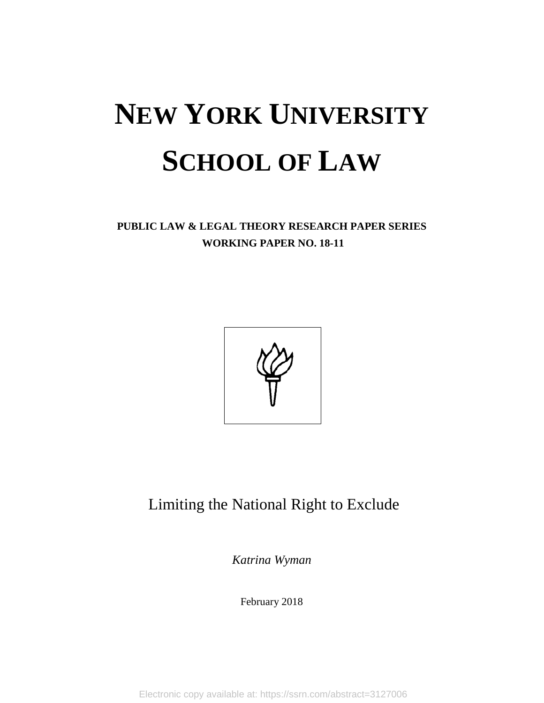# **NEW YORK UNIVERSITY SCHOOL OF LAW**

**PUBLIC LAW & LEGAL THEORY RESEARCH PAPER SERIES WORKING PAPER NO. 18-11**



## Limiting the National Right to Exclude

*Katrina Wyman*

February 2018

Electronic copy available at: https://ssrn.com/abstract=3127006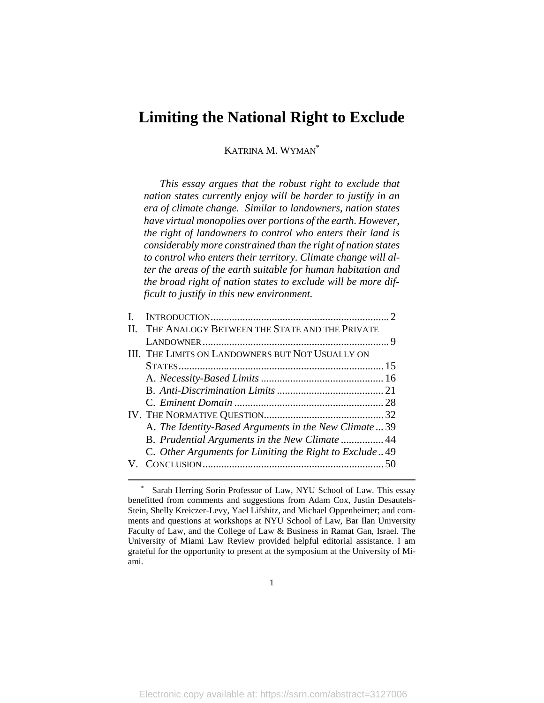### **Limiting the National Right to Exclude**

#### KATRINA M. WYMAN\*

*This essay argues that the robust right to exclude that nation states currently enjoy will be harder to justify in an era of climate change. Similar to landowners, nation states have virtual monopolies over portions of the earth. However, the right of landowners to control who enters their land is considerably more constrained than the right of nation states to control who enters their territory. Climate change will alter the areas of the earth suitable for human habitation and the broad right of nation states to exclude will be more difficult to justify in this new environment.*

| II. THE ANALOGY BETWEEN THE STATE AND THE PRIVATE       |  |
|---------------------------------------------------------|--|
|                                                         |  |
| <b>III. THE LIMITS ON LANDOWNERS BUT NOT USUALLY ON</b> |  |
|                                                         |  |
|                                                         |  |
|                                                         |  |
|                                                         |  |
|                                                         |  |
| A. The Identity-Based Arguments in the New Climate39    |  |
|                                                         |  |
| C. Other Arguments for Limiting the Right to Exclude 49 |  |
|                                                         |  |
|                                                         |  |

Sarah Herring Sorin Professor of Law, NYU School of Law. This essay benefitted from comments and suggestions from Adam Cox, Justin Desautels-Stein, Shelly Kreiczer-Levy, Yael Lifshitz, and Michael Oppenheimer; and comments and questions at workshops at NYU School of Law, Bar Ilan University Faculty of Law, and the College of Law & Business in Ramat Gan, Israel. The University of Miami Law Review provided helpful editorial assistance. I am grateful for the opportunity to present at the symposium at the University of Miami.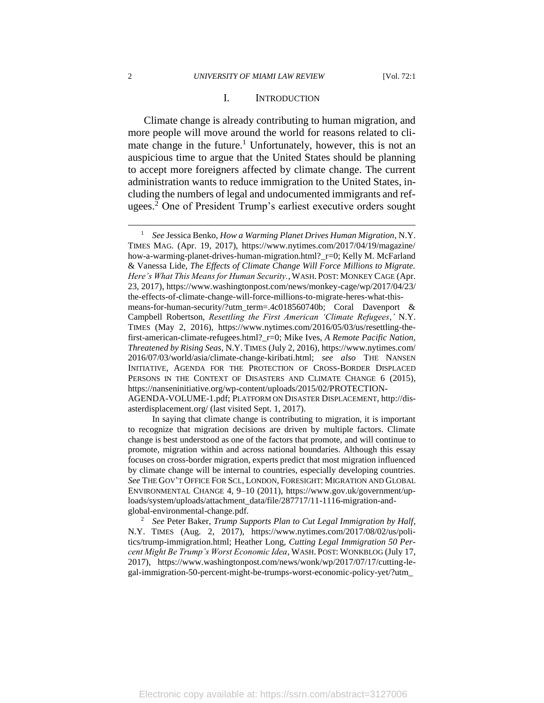#### <span id="page-2-0"></span>I. INTRODUCTION

Climate change is already contributing to human migration, and more people will move around the world for reasons related to climate change in the future.<sup>1</sup> Unfortunately, however, this is not an auspicious time to argue that the United States should be planning to accept more foreigners affected by climate change. The current administration wants to reduce immigration to the United States, including the numbers of legal and undocumented immigrants and refugees.<sup>2</sup> One of President Trump's earliest executive orders sought

In saying that climate change is contributing to migration, it is important to recognize that migration decisions are driven by multiple factors. Climate change is best understood as one of the factors that promote, and will continue to promote, migration within and across national boundaries. Although this essay focuses on cross-border migration, experts predict that most migration influenced by climate change will be internal to countries, especially developing countries. *See* THE GOV'T OFFICE FOR SCI., LONDON, FORESIGHT: MIGRATION AND GLOBAL ENVIRONMENTAL CHANGE 4, 9–10 (2011), https://www.gov.uk/government/uploads/system/uploads/attachment\_data/file/287717/11-1116-migration-andglobal-environmental-change.pdf.

<sup>2</sup> *See* Peter Baker, *Trump Supports Plan to Cut Legal Immigration by Half*, N.Y. TIMES (Aug. 2, 2017), https://www.nytimes.com/2017/08/02/us/politics/trump-immigration.html; Heather Long, *Cutting Legal Immigration 50 Percent Might Be Trump's Worst Economic Idea*, WASH. POST: WONKBLOG (July 17, 2017), https://www.washingtonpost.com/news/wonk/wp/2017/07/17/cutting-legal-immigration-50-percent-might-be-trumps-worst-economic-policy-yet/?utm\_

<sup>1</sup> *See* Jessica Benko, *How a Warming Planet Drives Human Migration*, N.Y. TIMES MAG. (Apr. 19, 2017), https://www.nytimes.com/2017/04/19/magazine/ how-a-warming-planet-drives-human-migration.html?\_r=0; Kelly M. McFarland & Vanessa Lide, *The Effects of Climate Change Will Force Millions to Migrate. Here's What This Means for Human Security.*, WASH. POST: MONKEY CAGE (Apr. 23, 2017), https://www.washingtonpost.com/news/monkey-cage/wp/2017/04/23/ the-effects-of-climate-change-will-force-millions-to-migrate-heres-what-thismeans-for-human-security/?utm\_term=.4c018560740b; Coral Davenport & Campbell Robertson, *Resettling the First American 'Climate Refugees*,*'* N.Y. TIMES (May 2, 2016), https://www.nytimes.com/2016/05/03/us/resettling-thefirst-american-climate-refugees.html?\_r=0; Mike Ives, *A Remote Pacific Nation, Threatened by Rising Seas*, N.Y. TIMES (July 2, 2016), https://www.nytimes.com/ 2016/07/03/world/asia/climate-change-kiribati.html; *see also* THE NANSEN INITIATIVE, AGENDA FOR THE PROTECTION OF CROSS-BORDER DISPLACED PERSONS IN THE CONTEXT OF DISASTERS AND CLIMATE CHANGE 6 (2015), https://nanseninitiative.org/wp-content/uploads/2015/02/PROTECTION-AGENDA-VOLUME-1.pdf; PLATFORM ON DISASTER DISPLACEMENT, http://disasterdisplacement.org/ (last visited Sept. 1, 2017).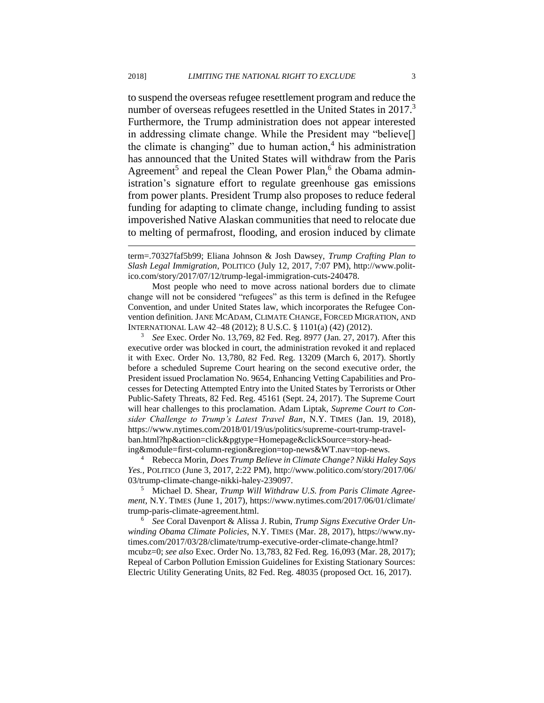$\overline{a}$ 

to suspend the overseas refugee resettlement program and reduce the number of overseas refugees resettled in the United States in 2017.<sup>3</sup> Furthermore, the Trump administration does not appear interested in addressing climate change. While the President may "believe[] the climate is changing" due to human action, $<sup>4</sup>$  his administration</sup> has announced that the United States will withdraw from the Paris Agreement<sup>5</sup> and repeal the Clean Power Plan,<sup>6</sup> the Obama administration's signature effort to regulate greenhouse gas emissions from power plants. President Trump also proposes to reduce federal funding for adapting to climate change, including funding to assist impoverished Native Alaskan communities that need to relocate due to melting of permafrost, flooding, and erosion induced by climate

Most people who need to move across national borders due to climate change will not be considered "refugees" as this term is defined in the Refugee Convention, and under United States law, which incorporates the Refugee Convention definition. JANE MCADAM, CLIMATE CHANGE, FORCED MIGRATION, AND INTERNATIONAL LAW 42–48 (2012); 8 U.S.C. § 1101(a) (42) (2012).

<sup>3</sup> *See* Exec. Order No. 13,769, 82 Fed. Reg. 8977 (Jan. 27, 2017). After this executive order was blocked in court, the administration revoked it and replaced it with Exec. Order No. 13,780, 82 Fed. Reg. 13209 (March 6, 2017). Shortly before a scheduled Supreme Court hearing on the second executive order, the President issued Proclamation No. 9654, Enhancing Vetting Capabilities and Processes for Detecting Attempted Entry into the United States by Terrorists or Other Public-Safety Threats, 82 Fed. Reg. 45161 (Sept. 24, 2017). The Supreme Court will hear challenges to this proclamation. Adam Liptak, *Supreme Court to Consider Challenge to Trump's Latest Travel Ban*, N.Y. TIMES (Jan. 19, 2018), https://www.nytimes.com/2018/01/19/us/politics/supreme-court-trump-travelban.html?hp&action=click&pgtype=Homepage&clickSource=story-heading&module=first-column-region&region=top-news&WT.nav=top-news.

<sup>4</sup> Rebecca Morin, *Does Trump Believe in Climate Change? Nikki Haley Says Yes.*, POLITICO (June 3, 2017, 2:22 PM), http://www.politico.com/story/2017/06/ 03/trump-climate-change-nikki-haley-239097.

<sup>5</sup> Michael D. Shear, *Trump Will Withdraw U.S. from Paris Climate Agreement*, N.Y. TIMES (June 1, 2017), https://www.nytimes.com/2017/06/01/climate/ trump-paris-climate-agreement.html.

<sup>6</sup> *See* Coral Davenport & Alissa J. Rubin, *Trump Signs Executive Order Unwinding Obama Climate Policies*, N.Y. TIMES (Mar. 28, 2017), https://www.nytimes.com/2017/03/28/climate/trump-executive-order-climate-change.html? mcubz=0; *see also* Exec. Order No. 13,783, 82 Fed. Reg. 16,093 (Mar. 28, 2017); Repeal of Carbon Pollution Emission Guidelines for Existing Stationary Sources: Electric Utility Generating Units, 82 Fed. Reg. 48035 (proposed Oct. 16, 2017).

term=.70327faf5b99; Eliana Johnson & Josh Dawsey, *Trump Crafting Plan to Slash Legal Immigration*, POLITICO (July 12, 2017, 7:07 PM), http://www.politico.com/story/2017/07/12/trump-legal-immigration-cuts-240478.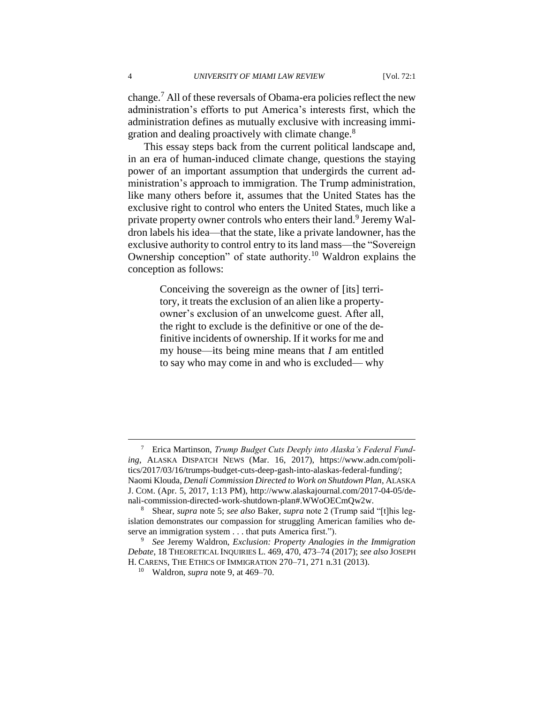change.<sup>7</sup> All of these reversals of Obama-era policies reflect the new administration's efforts to put America's interests first, which the administration defines as mutually exclusive with increasing immigration and dealing proactively with climate change.<sup>8</sup>

This essay steps back from the current political landscape and, in an era of human-induced climate change, questions the staying power of an important assumption that undergirds the current administration's approach to immigration. The Trump administration, like many others before it, assumes that the United States has the exclusive right to control who enters the United States, much like a private property owner controls who enters their land.<sup>9</sup> Jeremy Waldron labels his idea—that the state, like a private landowner, has the exclusive authority to control entry to its land mass—the "Sovereign Ownership conception" of state authority.<sup>10</sup> Waldron explains the conception as follows:

> Conceiving the sovereign as the owner of [its] territory, it treats the exclusion of an alien like a propertyowner's exclusion of an unwelcome guest. After all, the right to exclude is the definitive or one of the definitive incidents of ownership. If it works for me and my house—its being mine means that *I* am entitled to say who may come in and who is excluded— why

<sup>7</sup> Erica Martinson, *Trump Budget Cuts Deeply into Alaska's Federal Funding*, ALASKA DISPATCH NEWS (Mar. 16, 2017), https://www.adn.com/politics/2017/03/16/trumps-budget-cuts-deep-gash-into-alaskas-federal-funding/; Naomi Klouda, *Denali Commission Directed to Work on Shutdown Plan*, ALASKA J. COM. (Apr. 5, 2017, 1:13 PM), http://www.alaskajournal.com/2017-04-05/denali-commission-directed-work-shutdown-plan#.WWoOECmQw2w.

<sup>8</sup> Shear, *supra* note 5; *see also* Baker, *supra* note 2 (Trump said "[t]his legislation demonstrates our compassion for struggling American families who deserve an immigration system . . . that puts America first.").

<sup>9</sup> *See* Jeremy Waldron, *Exclusion: Property Analogies in the Immigration Debate*, 18 THEORETICAL INQUIRIES L. 469, 470, 473–74 (2017); *see also* JOSEPH H. CARENS, THE ETHICS OF IMMIGRATION 270–71, 271 n.31 (2013).

<sup>10</sup> Waldron, *supra* note 9, at 469–70.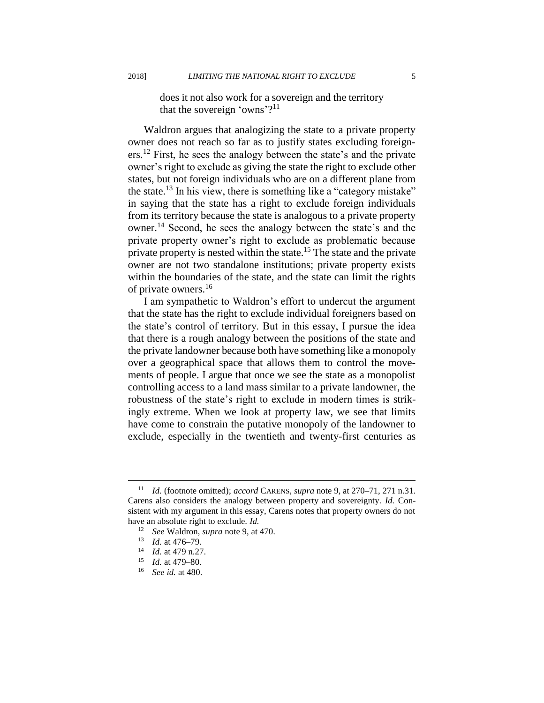does it not also work for a sovereign and the territory that the sovereign 'owns'? $11$ 

Waldron argues that analogizing the state to a private property owner does not reach so far as to justify states excluding foreigners.<sup>12</sup> First, he sees the analogy between the state's and the private owner's right to exclude as giving the state the right to exclude other states, but not foreign individuals who are on a different plane from the state.<sup>13</sup> In his view, there is something like a "category mistake" in saying that the state has a right to exclude foreign individuals from its territory because the state is analogous to a private property owner.<sup>14</sup> Second, he sees the analogy between the state's and the private property owner's right to exclude as problematic because private property is nested within the state.<sup>15</sup> The state and the private owner are not two standalone institutions; private property exists within the boundaries of the state, and the state can limit the rights of private owners.<sup>16</sup>

I am sympathetic to Waldron's effort to undercut the argument that the state has the right to exclude individual foreigners based on the state's control of territory. But in this essay, I pursue the idea that there is a rough analogy between the positions of the state and the private landowner because both have something like a monopoly over a geographical space that allows them to control the movements of people. I argue that once we see the state as a monopolist controlling access to a land mass similar to a private landowner, the robustness of the state's right to exclude in modern times is strikingly extreme. When we look at property law, we see that limits have come to constrain the putative monopoly of the landowner to exclude, especially in the twentieth and twenty-first centuries as

<sup>11</sup> *Id.* (footnote omitted); *accord* CARENS, *supra* note 9, at 270–71, 271 n.31. Carens also considers the analogy between property and sovereignty. *Id.* Consistent with my argument in this essay, Carens notes that property owners do not have an absolute right to exclude. *Id.*

<sup>12</sup> *See* Waldron, *supra* note 9, at 470.

<sup>13</sup> *Id.* at 476–79.

<sup>14</sup> *Id.* at 479 n.27.

<sup>15</sup> *Id.* at 479–80.

<sup>16</sup> *See id.* at 480.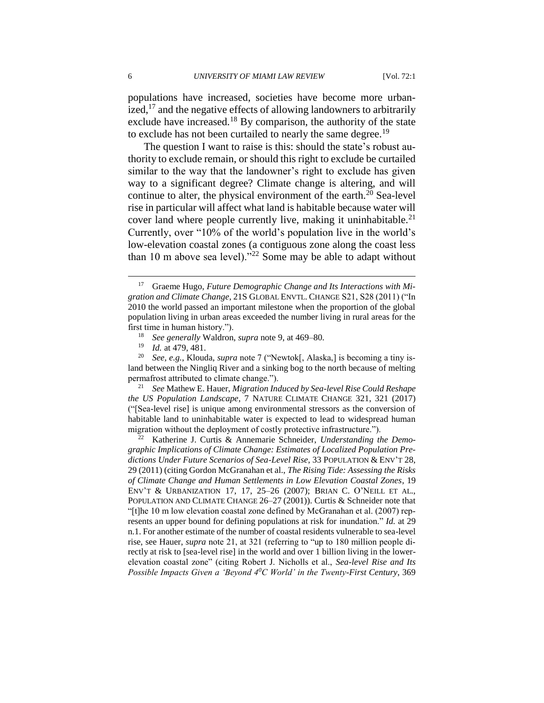populations have increased, societies have become more urbanized, $^{17}$  and the negative effects of allowing landowners to arbitrarily exclude have increased.<sup>18</sup> By comparison, the authority of the state to exclude has not been curtailed to nearly the same degree.<sup>19</sup>

The question I want to raise is this: should the state's robust authority to exclude remain, or should this right to exclude be curtailed similar to the way that the landowner's right to exclude has given way to a significant degree? Climate change is altering, and will continue to alter, the physical environment of the earth.<sup>20</sup> Sea-level rise in particular will affect what land is habitable because water will cover land where people currently live, making it uninhabitable.<sup>21</sup> Currently, over "10% of the world's population live in the world's low-elevation coastal zones (a contiguous zone along the coast less than 10 m above sea level)."<sup>22</sup> Some may be able to adapt without

<sup>21</sup> *See* Mathew E. Hauer, *Migration Induced by Sea-level Rise Could Reshape the US Population Landscape*, 7 NATURE CLIMATE CHANGE 321, 321 (2017) ("[Sea-level rise] is unique among environmental stressors as the conversion of habitable land to uninhabitable water is expected to lead to widespread human migration without the deployment of costly protective infrastructure.").

<sup>22</sup> Katherine J. Curtis & Annemarie Schneider, *Understanding the Demographic Implications of Climate Change: Estimates of Localized Population Predictions Under Future Scenarios of Sea-Level Rise*, 33 POPULATION & ENV'T 28, 29 (2011) (citing Gordon McGranahan et al., *The Rising Tide: Assessing the Risks of Climate Change and Human Settlements in Low Elevation Coastal Zones*, 19 ENV'T & URBANIZATION 17, 17, 25–26 (2007); BRIAN C. O'NEILL ET AL., POPULATION AND CLIMATE CHANGE 26–27 (2001)). Curtis & Schneider note that "[t]he 10 m low elevation coastal zone defined by McGranahan et al. (2007) represents an upper bound for defining populations at risk for inundation." *Id.* at 29 n.1. For another estimate of the number of coastal residents vulnerable to sea-level rise, see Hauer, *supra* note 21, at 321 (referring to "up to 180 million people directly at risk to [sea-level rise] in the world and over 1 billion living in the lowerelevation coastal zone" (citing Robert J. Nicholls et al., *Sea-level Rise and Its Possible Impacts Given a 'Beyond 40C World' in the Twenty-First Century*, 369

<sup>&</sup>lt;sup>17</sup> Graeme Hugo, *Future Demographic Change and Its Interactions with Migration and Climate Change*, 21S GLOBAL ENVTL. CHANGE S21, S28 (2011) ("In 2010 the world passed an important milestone when the proportion of the global population living in urban areas exceeded the number living in rural areas for the first time in human history.").

<sup>&</sup>lt;sup>18</sup> *See generally* Waldron, *supra* note 9, at 469–80.<br><sup>19</sup> *Id at 479 481* 

<sup>&</sup>lt;sup>19</sup> *Id.* at 479, 481.<br><sup>20</sup> *See e g* Kloud

<sup>20</sup> *See, e.g.*, Klouda, *supra* note 7 ("Newtok[, Alaska,] is becoming a tiny island between the Ningliq River and a sinking bog to the north because of melting permafrost attributed to climate change.").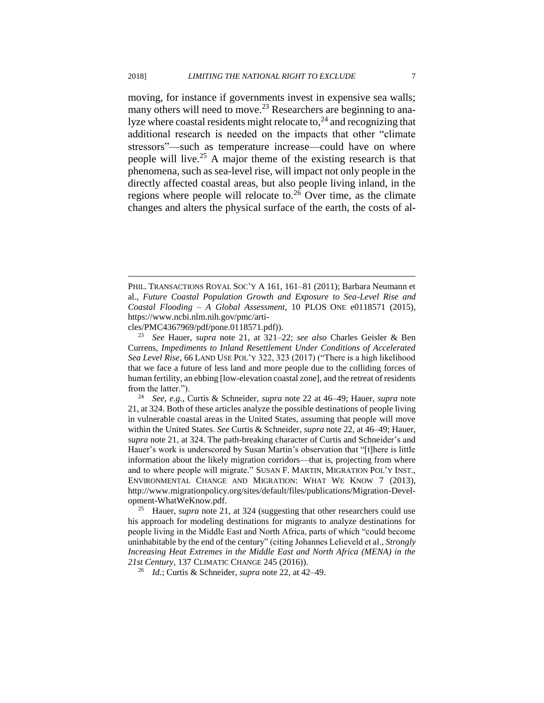moving, for instance if governments invest in expensive sea walls; many others will need to move.<sup>23</sup> Researchers are beginning to analyze where coastal residents might relocate to, $^{24}$  and recognizing that additional research is needed on the impacts that other "climate stressors"—such as temperature increase—could have on where people will live.<sup>25</sup> A major theme of the existing research is that phenomena, such as sea-level rise, will impact not only people in the directly affected coastal areas, but also people living inland, in the regions where people will relocate to.<sup>26</sup> Over time, as the climate changes and alters the physical surface of the earth, the costs of al-

cles/PMC4367969/pdf/pone.0118571.pdf)).

 $\overline{a}$ 

<sup>24</sup> *See, e.g.*, Curtis & Schneider, *supra* note 22 at 46–49; Hauer, *supra* note 21, at 324. Both of these articles analyze the possible destinations of people living in vulnerable coastal areas in the United States, assuming that people will move within the United States. *See* Curtis & Schneider, *supra* note 22, at 46–49; Hauer, *supra* note 21, at 324. The path-breaking character of Curtis and Schneider's and Hauer's work is underscored by Susan Martin's observation that "[t]here is little information about the likely migration corridors—that is, projecting from where and to where people will migrate." SUSAN F. MARTIN, MIGRATION POL'Y INST., ENVIRONMENTAL CHANGE AND MIGRATION: WHAT WE KNOW 7 (2013), http://www.migrationpolicy.org/sites/default/files/publications/Migration-Development-WhatWeKnow.pdf.

<sup>25</sup> Hauer, *supra* note 21, at 324 (suggesting that other researchers could use his approach for modeling destinations for migrants to analyze destinations for people living in the Middle East and North Africa, parts of which "could become uninhabitable by the end of the century" (citing Johannes Lelieveld et al., *Strongly Increasing Heat Extremes in the Middle East and North Africa (MENA) in the 21st Century*, 137 CLIMATIC CHANGE 245 (2016)).

<sup>26</sup> *Id.*; Curtis & Schneider, *supra* note 22, at 42–49.

PHIL. TRANSACTIONS ROYAL SOC'Y A 161, 161–81 (2011); Barbara Neumann et al., *Future Coastal Population Growth and Exposure to Sea-Level Rise and Coastal Flooding – A Global Assessment*, 10 PLOS ONE e0118571 (2015), https://www.ncbi.nlm.nih.gov/pmc/arti-

<sup>23</sup> *See* Hauer, *supra* note 21, at 321–22; *see also* Charles Geisler & Ben Currens, *Impediments to Inland Resettlement Under Conditions of Accelerated Sea Level Rise*, 66 LAND USE POL'Y 322, 323 (2017) ("There is a high likelihood that we face a future of less land and more people due to the colliding forces of human fertility, an ebbing [low-elevation coastal zone], and the retreat of residents from the latter.").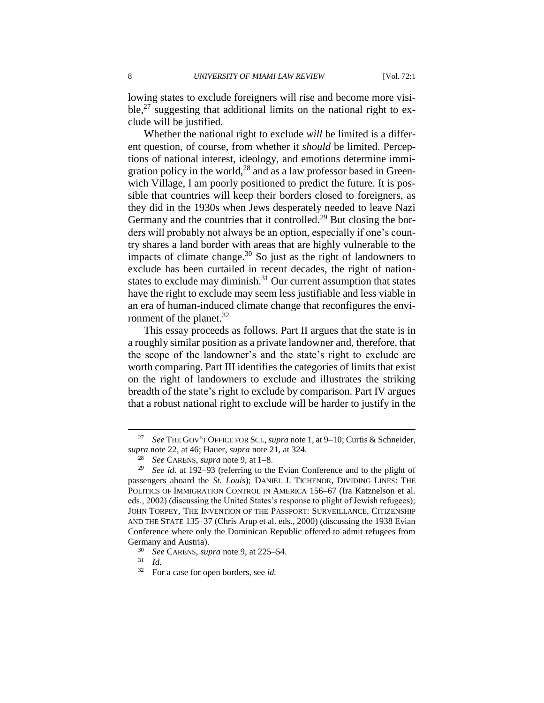lowing states to exclude foreigners will rise and become more visible,<sup>27</sup> suggesting that additional limits on the national right to exclude will be justified.

Whether the national right to exclude *will* be limited is a different question, of course, from whether it *should* be limited. Perceptions of national interest, ideology, and emotions determine immigration policy in the world, $^{28}$  and as a law professor based in Greenwich Village, I am poorly positioned to predict the future. It is possible that countries will keep their borders closed to foreigners, as they did in the 1930s when Jews desperately needed to leave Nazi Germany and the countries that it controlled.<sup>29</sup> But closing the borders will probably not always be an option, especially if one's country shares a land border with areas that are highly vulnerable to the impacts of climate change.<sup>30</sup> So just as the right of landowners to exclude has been curtailed in recent decades, the right of nationstates to exclude may diminish.<sup>31</sup> Our current assumption that states have the right to exclude may seem less justifiable and less viable in an era of human-induced climate change that reconfigures the environment of the planet. $32$ 

This essay proceeds as follows. Part II argues that the state is in a roughly similar position as a private landowner and, therefore, that the scope of the landowner's and the state's right to exclude are worth comparing. Part III identifies the categories of limits that exist on the right of landowners to exclude and illustrates the striking breadth of the state's right to exclude by comparison. Part IV argues that a robust national right to exclude will be harder to justify in the

<sup>27</sup> *See* THE GOV'T OFFICE FOR SCI., *supra* note 1, at 9–10; Curtis & Schneider, *supra* note 22, at 46; Hauer, *supra* note 21, at 324.

<sup>28</sup> *See* CARENS, *supra* note 9, at 1–8.

<sup>29</sup> *See id.* at 192–93 (referring to the Evian Conference and to the plight of passengers aboard the *St. Louis*); DANIEL J. TICHENOR, DIVIDING LINES: THE POLITICS OF IMMIGRATION CONTROL IN AMERICA 156–67 (Ira Katznelson et al. eds., 2002) (discussing the United States's response to plight of Jewish refugees); JOHN TORPEY, THE INVENTION OF THE PASSPORT: SURVEILLANCE, CITIZENSHIP AND THE STATE 135–37 (Chris Arup et al. eds., 2000) (discussing the 1938 Evian Conference where only the Dominican Republic offered to admit refugees from Germany and Austria).

<sup>30</sup> *See* CARENS, *supra* note 9, at 225–54.

<sup>31</sup> *Id.*

<sup>32</sup> For a case for open borders, see *id.*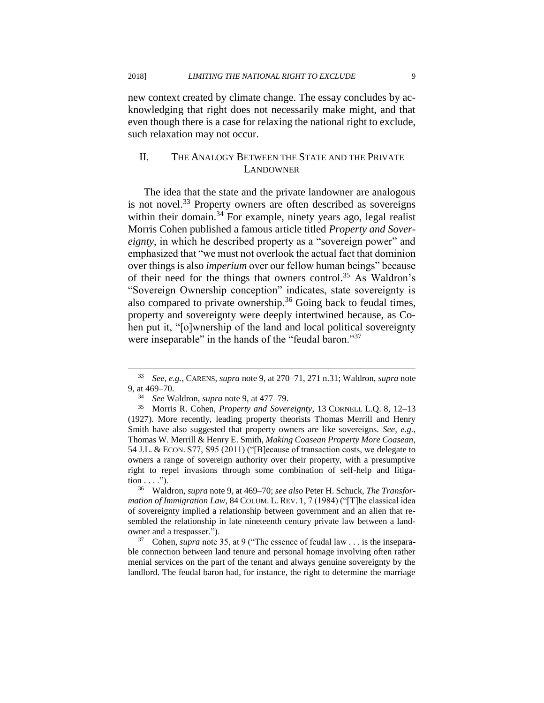new context created by climate change. The essay concludes by acknowledging that right does not necessarily make might, and that even though there is a case for relaxing the national right to exclude, such relaxation may not occur.

#### II. THE ANALOGY BETWEEN THE STATE AND THE PRIVATE LANDOWNER

The idea that the state and the private landowner are analogous is not novel.<sup>33</sup> Property owners are often described as sovereigns within their domain.<sup>34</sup> For example, ninety years ago, legal realist Morris Cohen published a famous article titled *Property and Sovereignty*, in which he described property as a "sovereign power" and emphasized that "we must not overlook the actual fact that dominion over things is also *imperium* over our fellow human beings" because of their need for the things that owners control.<sup>35</sup> As Waldron's "Sovereign Ownership conception" indicates, state sovereignty is also compared to private ownership. $36$  Going back to feudal times, property and sovereignty were deeply intertwined because, as Cohen put it, "[o]wnership of the land and local political sovereignty were inseparable" in the hands of the "feudal baron."<sup>37</sup>

<sup>33</sup> *See, e.g.*, CARENS, *supra* note 9, at 270–71, 271 n.31; Waldron, *supra* note 9, at 469–70.

<sup>34</sup> *See* Waldron, *supra* note 9, at 477–79.

<sup>35</sup> Morris R. Cohen, *Property and Sovereignty*, 13 CORNELL L.Q. 8, 12–13 (1927). More recently, leading property theorists Thomas Merrill and Henry Smith have also suggested that property owners are like sovereigns. *See, e.g.*, Thomas W. Merrill & Henry E. Smith, *Making Coasean Property More Coasean*, 54 J.L. & ECON. S77, S95 (2011) ("[B]ecause of transaction costs, we delegate to owners a range of sovereign authority over their property, with a presumptive right to repel invasions through some combination of self-help and litiga- $\text{tion} \dots$ ").

<sup>36</sup> Waldron, *supra* note 9, at 469–70; *see also* Peter H. Schuck, *The Transformation of Immigration Law*, 84 COLUM. L. REV. 1, 7 (1984) ("[T]he classical idea of sovereignty implied a relationship between government and an alien that resembled the relationship in late nineteenth century private law between a landowner and a trespasser.").

<sup>37</sup> Cohen, *supra* note 35, at 9 ("The essence of feudal law . . . is the inseparable connection between land tenure and personal homage involving often rather menial services on the part of the tenant and always genuine sovereignty by the landlord. The feudal baron had, for instance, the right to determine the marriage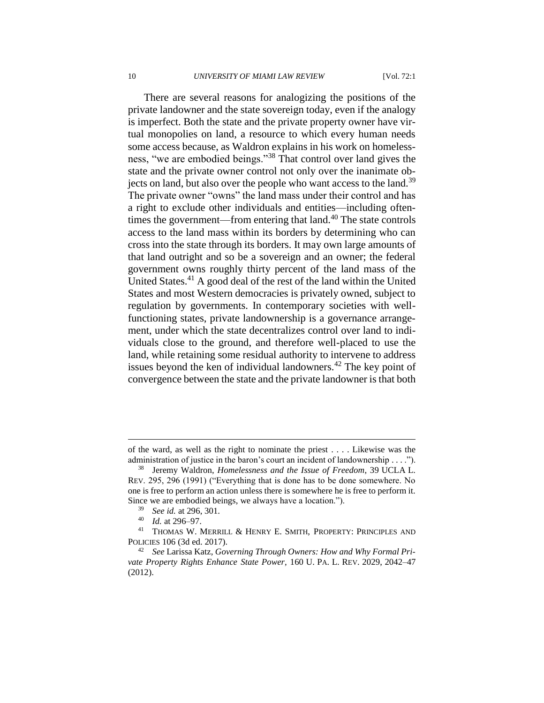There are several reasons for analogizing the positions of the private landowner and the state sovereign today, even if the analogy is imperfect. Both the state and the private property owner have virtual monopolies on land, a resource to which every human needs some access because, as Waldron explains in his work on homelessness, "we are embodied beings."<sup>38</sup> That control over land gives the state and the private owner control not only over the inanimate objects on land, but also over the people who want access to the land.<sup>39</sup> The private owner "owns" the land mass under their control and has a right to exclude other individuals and entities—including oftentimes the government—from entering that  $land<sup>40</sup>$ . The state controls access to the land mass within its borders by determining who can cross into the state through its borders. It may own large amounts of that land outright and so be a sovereign and an owner; the federal government owns roughly thirty percent of the land mass of the United States.<sup>41</sup> A good deal of the rest of the land within the United States and most Western democracies is privately owned, subject to regulation by governments. In contemporary societies with wellfunctioning states, private landownership is a governance arrangement, under which the state decentralizes control over land to individuals close to the ground, and therefore well-placed to use the land, while retaining some residual authority to intervene to address issues beyond the ken of individual landowners. $^{42}$  The key point of convergence between the state and the private landowner is that both

of the ward, as well as the right to nominate the priest . . . . Likewise was the administration of justice in the baron's court an incident of landownership . . . .").

<sup>38</sup> Jeremy Waldron, *Homelessness and the Issue of Freedom*, 39 UCLA L. REV. 295, 296 (1991) ("Everything that is done has to be done somewhere. No one is free to perform an action unless there is somewhere he is free to perform it. Since we are embodied beings, we always have a location.").

<sup>39</sup> *See id.* at 296, 301.

<sup>40</sup> *Id.* at 296–97.

<sup>41</sup> THOMAS W. MERRILL & HENRY E. SMITH, PROPERTY: PRINCIPLES AND POLICIES 106 (3d ed. 2017).

<sup>42</sup> *See* Larissa Katz, *Governing Through Owners: How and Why Formal Private Property Rights Enhance State Power*, 160 U. PA. L. REV. 2029, 2042–47 (2012).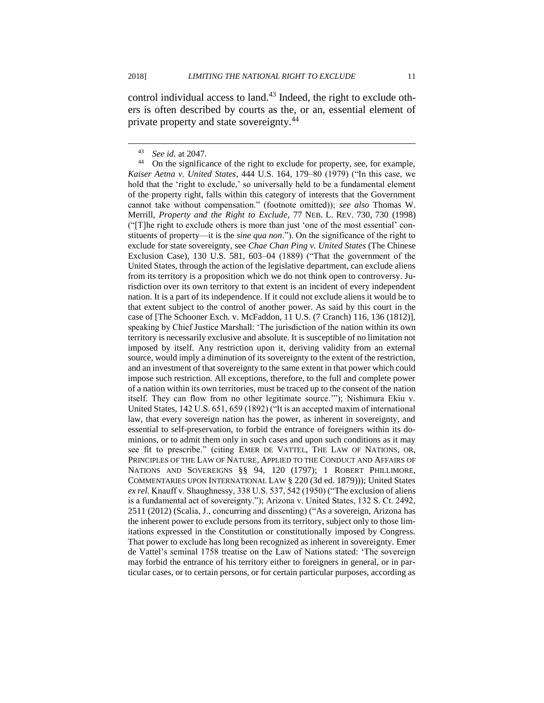control individual access to land.<sup>43</sup> Indeed, the right to exclude others is often described by courts as the, or an, essential element of private property and state sovereignty.<sup>44</sup>

<sup>43</sup> *See id.* at 2047.

<sup>&</sup>lt;sup>44</sup> On the significance of the right to exclude for property, see, for example, *Kaiser Aetna v. United States*, 444 U.S. 164, 179–80 (1979) ("In this case, we hold that the 'right to exclude,' so universally held to be a fundamental element of the property right, falls within this category of interests that the Government cannot take without compensation." (footnote omitted)); *see also* Thomas W. Merrill, *Property and the Right to Exclude*, 77 NEB. L. REV. 730, 730 (1998) ("[T]he right to exclude others is more than just 'one of the most essential' constituents of property—it is the *sine qua non*."). On the significance of the right to exclude for state sovereignty, see *Chae Chan Ping v. United States* (The Chinese Exclusion Case), 130 U.S. 581, 603–04 (1889) ("That the government of the United States, through the action of the legislative department, can exclude aliens from its territory is a proposition which we do not think open to controversy. Jurisdiction over its own territory to that extent is an incident of every independent nation. It is a part of its independence. If it could not exclude aliens it would be to that extent subject to the control of another power. As said by this court in the case of [The Schooner Exch. v. McFaddon, 11 U.S. (7 Cranch) 116, 136 (1812)], speaking by Chief Justice Marshall: 'The jurisdiction of the nation within its own territory is necessarily exclusive and absolute. It is susceptible of no limitation not imposed by itself. Any restriction upon it, deriving validity from an external source, would imply a diminution of its sovereignty to the extent of the restriction, and an investment of that sovereignty to the same extent in that power which could impose such restriction. All exceptions, therefore, to the full and complete power of a nation within its own territories, must be traced up to the consent of the nation itself. They can flow from no other legitimate source.'"); Nishimura Ekiu v. United States, 142 U.S. 651, 659 (1892) ("It is an accepted maxim of international law, that every sovereign nation has the power, as inherent in sovereignty, and essential to self-preservation, to forbid the entrance of foreigners within its dominions, or to admit them only in such cases and upon such conditions as it may see fit to prescribe." (citing EMER DE VATTEL, THE LAW OF NATIONS, OR, PRINCIPLES OF THE LAW OF NATURE, APPLIED TO THE CONDUCT AND AFFAIRS OF NATIONS AND SOVEREIGNS §§ 94, 120 (1797); 1 ROBERT PHILLIMORE, COMMENTARIES UPON INTERNATIONAL LAW § 220 (3d ed. 1879))); United States *ex rel.* Knauff v. Shaughnessy, 338 U.S. 537, 542 (1950) ("The exclusion of aliens is a fundamental act of sovereignty."); Arizona v. United States, 132 S. Ct. 2492, 2511 (2012) (Scalia, J., concurring and dissenting) ("As a sovereign, Arizona has the inherent power to exclude persons from its territory, subject only to those limitations expressed in the Constitution or constitutionally imposed by Congress. That power to exclude has long been recognized as inherent in sovereignty. Emer de Vattel's seminal 1758 treatise on the Law of Nations stated: 'The sovereign may forbid the entrance of his territory either to foreigners in general, or in particular cases, or to certain persons, or for certain particular purposes, according as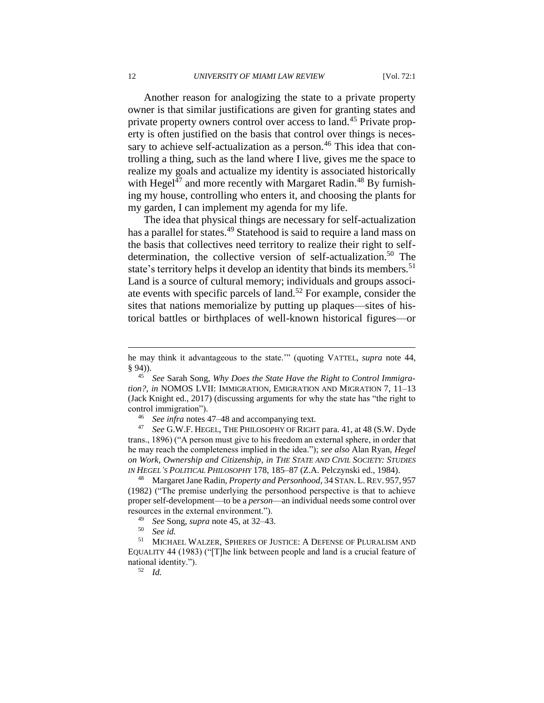Another reason for analogizing the state to a private property owner is that similar justifications are given for granting states and private property owners control over access to land.<sup>45</sup> Private property is often justified on the basis that control over things is necessary to achieve self-actualization as a person.<sup>46</sup> This idea that controlling a thing, such as the land where I live, gives me the space to realize my goals and actualize my identity is associated historically with Hegel<sup>47</sup> and more recently with Margaret Radin.<sup>48</sup> By furnishing my house, controlling who enters it, and choosing the plants for my garden, I can implement my agenda for my life.

The idea that physical things are necessary for self-actualization has a parallel for states.<sup>49</sup> Statehood is said to require a land mass on the basis that collectives need territory to realize their right to selfdetermination, the collective version of self-actualization.<sup>50</sup> The state's territory helps it develop an identity that binds its members.<sup>51</sup> Land is a source of cultural memory; individuals and groups associate events with specific parcels of land.<sup>52</sup> For example, consider the sites that nations memorialize by putting up plaques—sites of historical battles or birthplaces of well-known historical figures—or

See *infra* notes 47–48 and accompanying text.

<sup>47</sup> *See* G.W.F. HEGEL, THE PHILOSOPHY OF RIGHT para. 41, at 48 (S.W. Dyde trans., 1896) ("A person must give to his freedom an external sphere, in order that he may reach the completeness implied in the idea."); *see also* Alan Ryan, *Hegel on Work, Ownership and Citizenship*, *in THE STATE AND CIVIL SOCIETY: STUDIES IN HEGEL'S POLITICAL PHILOSOPHY* 178, 185–87 (Z.A. Pelczynski ed., 1984).

<sup>48</sup> Margaret Jane Radin, *Property and Personhood*, 34 STAN. L. REV. 957, 957 (1982) ("The premise underlying the personhood perspective is that to achieve proper self-development—to be a *person*—an individual needs some control over resources in the external environment.").

<sup>49</sup> *See* Song, *supra* note 45, at 32–43.

<sup>51</sup> MICHAEL WALZER, SPHERES OF JUSTICE: A DEFENSE OF PLURALISM AND EQUALITY 44 (1983) ("[T]he link between people and land is a crucial feature of national identity.").

<sup>52</sup> *Id.*

he may think it advantageous to the state.'" (quoting VATTEL, *supra* note 44, § 94)).

<sup>45</sup> *See* Sarah Song, *Why Does the State Have the Right to Control Immigration?*, *in* NOMOS LVII: IMMIGRATION, EMIGRATION AND MIGRATION 7, 11–13 (Jack Knight ed., 2017) (discussing arguments for why the state has "the right to control immigration").

<sup>50</sup> *See id.*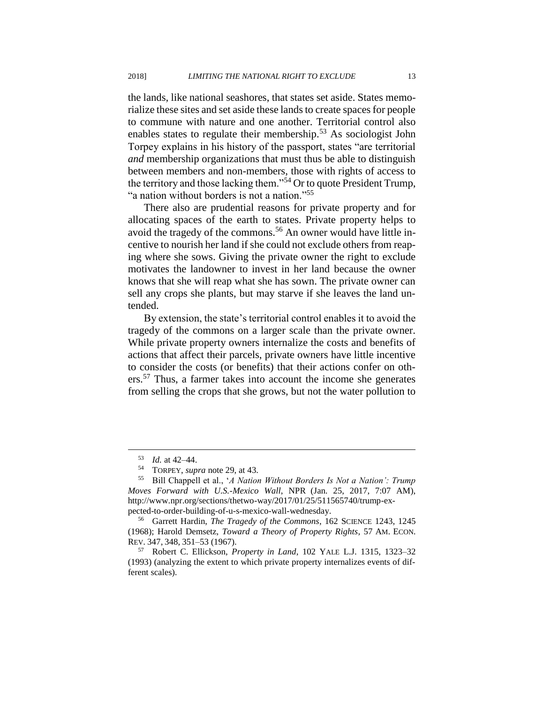the lands, like national seashores, that states set aside. States memorialize these sites and set aside these lands to create spaces for people to commune with nature and one another. Territorial control also enables states to regulate their membership.<sup>53</sup> As sociologist John Torpey explains in his history of the passport, states "are territorial *and* membership organizations that must thus be able to distinguish between members and non-members, those with rights of access to the territory and those lacking them."<sup>54</sup> Or to quote President Trump, "a nation without borders is not a nation."<sup>55</sup>

There also are prudential reasons for private property and for allocating spaces of the earth to states. Private property helps to avoid the tragedy of the commons.<sup>56</sup> An owner would have little incentive to nourish her land if she could not exclude others from reaping where she sows. Giving the private owner the right to exclude motivates the landowner to invest in her land because the owner knows that she will reap what she has sown. The private owner can sell any crops she plants, but may starve if she leaves the land untended.

By extension, the state's territorial control enables it to avoid the tragedy of the commons on a larger scale than the private owner. While private property owners internalize the costs and benefits of actions that affect their parcels, private owners have little incentive to consider the costs (or benefits) that their actions confer on others.<sup>57</sup> Thus, a farmer takes into account the income she generates from selling the crops that she grows, but not the water pollution to

<sup>53</sup> *Id.* at 42–44.

<sup>&</sup>lt;sup>54</sup> TORPEY, *supra* note 29, at 43.<br><sup>55</sup> Bill Channell et al. *A Nation* 

<sup>55</sup> Bill Chappell et al., '*A Nation Without Borders Is Not a Nation': Trump Moves Forward with U.S.-Mexico Wall*, NPR (Jan. 25, 2017, 7:07 AM), http://www.npr.org/sections/thetwo-way/2017/01/25/511565740/trump-expected-to-order-building-of-u-s-mexico-wall-wednesday.

<sup>56</sup> Garrett Hardin, *The Tragedy of the Commons*, 162 SCIENCE 1243, 1245 (1968); Harold Demsetz, *Toward a Theory of Property Rights*, 57 AM. ECON. REV. 347, 348, 351–53 (1967).

<sup>57</sup> Robert C. Ellickson, *Property in Land*, 102 YALE L.J. 1315, 1323–32 (1993) (analyzing the extent to which private property internalizes events of different scales).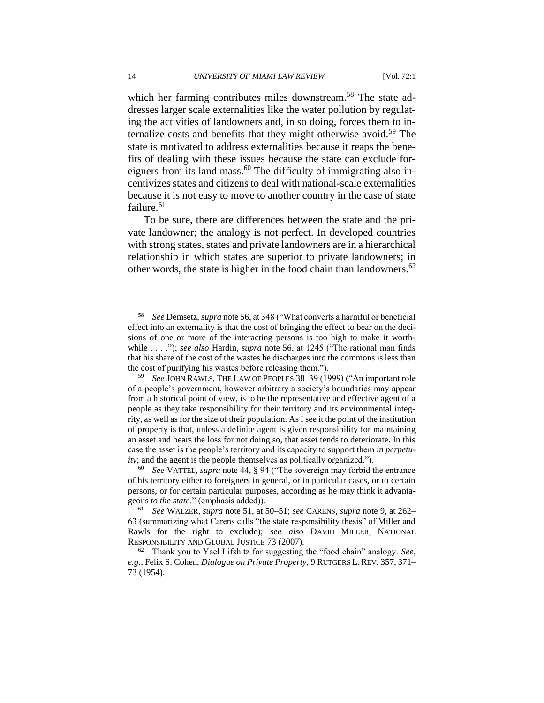which her farming contributes miles downstream.<sup>58</sup> The state addresses larger scale externalities like the water pollution by regulating the activities of landowners and, in so doing, forces them to internalize costs and benefits that they might otherwise avoid.<sup>59</sup> The state is motivated to address externalities because it reaps the benefits of dealing with these issues because the state can exclude foreigners from its land mass.<sup>60</sup> The difficulty of immigrating also incentivizes states and citizens to deal with national-scale externalities because it is not easy to move to another country in the case of state failure. $61$ 

To be sure, there are differences between the state and the private landowner; the analogy is not perfect. In developed countries with strong states, states and private landowners are in a hierarchical relationship in which states are superior to private landowners; in other words, the state is higher in the food chain than landowners.<sup>62</sup>

<sup>60</sup> *See* VATTEL, *supra* note 44, § 94 ("The sovereign may forbid the entrance of his territory either to foreigners in general, or in particular cases, or to certain persons, or for certain particular purposes, according as he may think it advantageous *to the state*." (emphasis added)).

<sup>58</sup> *See* Demsetz, *supra* note 56, at 348 ("What converts a harmful or beneficial effect into an externality is that the cost of bringing the effect to bear on the decisions of one or more of the interacting persons is too high to make it worthwhile . . . ."); *see also* Hardin, *supra* note 56, at 1245 ("The rational man finds that his share of the cost of the wastes he discharges into the commons is less than the cost of purifying his wastes before releasing them.").

<sup>59</sup> *See* JOHN RAWLS, THE LAW OF PEOPLES 38–39 (1999) ("An important role of a people's government, however arbitrary a society's boundaries may appear from a historical point of view, is to be the representative and effective agent of a people as they take responsibility for their territory and its environmental integrity, as well as for the size of their population. As I see it the point of the institution of property is that, unless a definite agent is given responsibility for maintaining an asset and bears the loss for not doing so, that asset tends to deteriorate. In this case the asset is the people's territory and its capacity to support them *in perpetuity*; and the agent is the people themselves as politically organized.").

<sup>61</sup> *See* WALZER, *supra* note 51, at 50–51; *see* CARENS, *supra* note 9, at 262– 63 (summarizing what Carens calls "the state responsibility thesis" of Miller and Rawls for the right to exclude); *see also* DAVID MILLER, NATIONAL RESPONSIBILITY AND GLOBAL JUSTICE 73 (2007).

<sup>62</sup> Thank you to Yael Lifshitz for suggesting the "food chain" analogy. *See, e.g.*, Felix S. Cohen, *Dialogue on Private Property*, 9 RUTGERS L. REV. 357, 371– 73 (1954).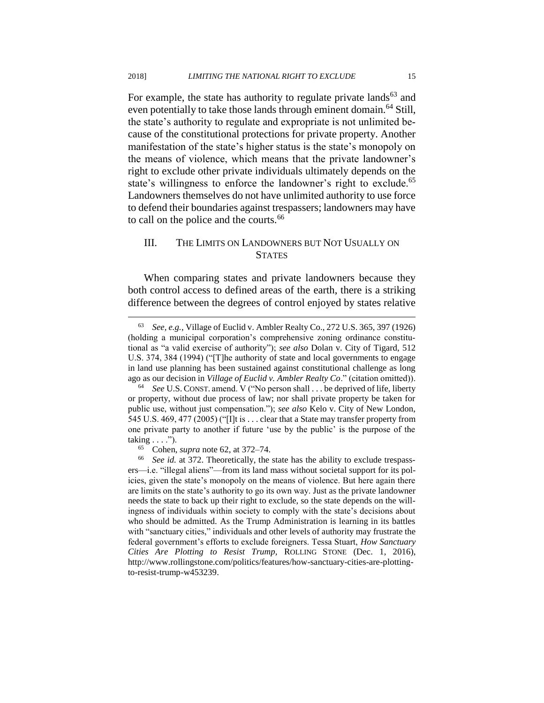For example, the state has authority to regulate private lands<sup>63</sup> and even potentially to take those lands through eminent domain.<sup>64</sup> Still, the state's authority to regulate and expropriate is not unlimited because of the constitutional protections for private property. Another manifestation of the state's higher status is the state's monopoly on the means of violence, which means that the private landowner's right to exclude other private individuals ultimately depends on the state's willingness to enforce the landowner's right to exclude.<sup>65</sup> Landowners themselves do not have unlimited authority to use force to defend their boundaries against trespassers; landowners may have to call on the police and the courts.<sup>66</sup>

#### III. THE LIMITS ON LANDOWNERS BUT NOT USUALLY ON **STATES**

When comparing states and private landowners because they both control access to defined areas of the earth, there is a striking difference between the degrees of control enjoyed by states relative

<sup>63</sup> *See, e.g.*, Village of Euclid v. Ambler Realty Co., 272 U.S. 365, 397 (1926) (holding a municipal corporation's comprehensive zoning ordinance constitutional as "a valid exercise of authority"); *see also* Dolan v. City of Tigard, 512 U.S. 374, 384 (1994) ("[T]he authority of state and local governments to engage in land use planning has been sustained against constitutional challenge as long ago as our decision in *Village of Euclid v. Ambler Realty Co*." (citation omitted)).

<sup>64</sup> *See* U.S. CONST. amend. V ("No person shall . . . be deprived of life, liberty or property, without due process of law; nor shall private property be taken for public use, without just compensation."); *see also* Kelo v. City of New London, 545 U.S. 469, 477 (2005) ("[I]t is . . . clear that a State may transfer property from one private party to another if future 'use by the public' is the purpose of the taking  $\dots$ .").

<sup>65</sup> Cohen, *supra* note 62, at 372–74.

<sup>66</sup> *See id.* at 372. Theoretically, the state has the ability to exclude trespassers—i.e. "illegal aliens"—from its land mass without societal support for its policies, given the state's monopoly on the means of violence. But here again there are limits on the state's authority to go its own way. Just as the private landowner needs the state to back up their right to exclude, so the state depends on the willingness of individuals within society to comply with the state's decisions about who should be admitted. As the Trump Administration is learning in its battles with "sanctuary cities," individuals and other levels of authority may frustrate the federal government's efforts to exclude foreigners. Tessa Stuart, *How Sanctuary Cities Are Plotting to Resist Trump,* ROLLING STONE (Dec. 1, 2016), http://www.rollingstone.com/politics/features/how-sanctuary-cities-are-plottingto-resist-trump-w453239.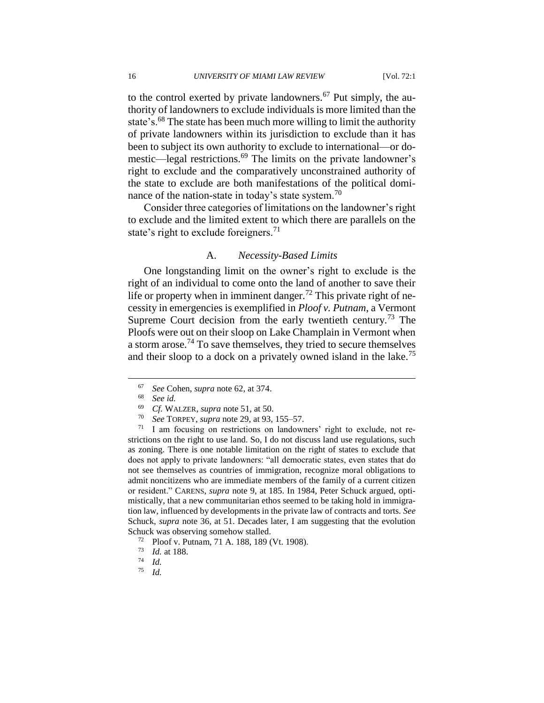to the control exerted by private landowners.<sup>67</sup> Put simply, the authority of landowners to exclude individuals is more limited than the state's.<sup>68</sup> The state has been much more willing to limit the authority of private landowners within its jurisdiction to exclude than it has been to subject its own authority to exclude to international—or domestic—legal restrictions.<sup>69</sup> The limits on the private landowner's right to exclude and the comparatively unconstrained authority of the state to exclude are both manifestations of the political dominance of the nation-state in today's state system.<sup>70</sup>

Consider three categories of limitations on the landowner's right to exclude and the limited extent to which there are parallels on the state's right to exclude foreigners.<sup>71</sup>

#### A. *Necessity-Based Limits*

One longstanding limit on the owner's right to exclude is the right of an individual to come onto the land of another to save their life or property when in imminent danger.<sup>72</sup> This private right of necessity in emergencies is exemplified in *Ploof v. Putnam*, a Vermont Supreme Court decision from the early twentieth century.<sup>73</sup> The Ploofs were out on their sloop on Lake Champlain in Vermont when a storm arose.<sup>74</sup> To save themselves, they tried to secure themselves and their sloop to a dock on a privately owned island in the lake.<sup>75</sup>

 $\overline{a}$ 

<sup>70</sup> *See* TORPEY, *supra* note 29, at 93, 155–57.

<sup>71</sup> I am focusing on restrictions on landowners' right to exclude, not restrictions on the right to use land. So, I do not discuss land use regulations, such as zoning. There is one notable limitation on the right of states to exclude that does not apply to private landowners: "all democratic states, even states that do not see themselves as countries of immigration, recognize moral obligations to admit noncitizens who are immediate members of the family of a current citizen or resident." CARENS, *supra* note 9, at 185. In 1984, Peter Schuck argued, optimistically, that a new communitarian ethos seemed to be taking hold in immigration law, influenced by developments in the private law of contracts and torts. *See*  Schuck, *supra* note 36, at 51. Decades later, I am suggesting that the evolution Schuck was observing somehow stalled.

<sup>72</sup> Ploof v. Putnam, 71 A. 188, 189 (Vt. 1908).

*Id.* 

<sup>67</sup> *See* Cohen, *supra* note 62, at 374.

<sup>68</sup> *See id.*

<sup>69</sup> *Cf.* WALZER, *supra* note 51, at 50.

<sup>73</sup> *Id.* at 188.

 $\frac{74}{75}$  *Id.*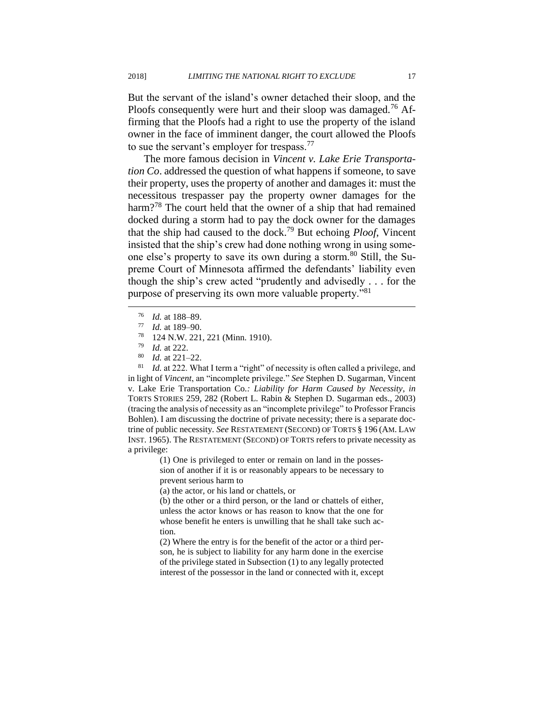But the servant of the island's owner detached their sloop, and the Ploofs consequently were hurt and their sloop was damaged.<sup>76</sup> Affirming that the Ploofs had a right to use the property of the island owner in the face of imminent danger, the court allowed the Ploofs to sue the servant's employer for trespass.<sup>77</sup>

The more famous decision in *Vincent v. Lake Erie Transportation Co*. addressed the question of what happens if someone, to save their property, uses the property of another and damages it: must the necessitous trespasser pay the property owner damages for the harm?<sup>78</sup> The court held that the owner of a ship that had remained docked during a storm had to pay the dock owner for the damages that the ship had caused to the dock.<sup>79</sup> But echoing *Ploof*, Vincent insisted that the ship's crew had done nothing wrong in using someone else's property to save its own during a storm.<sup>80</sup> Still, the Supreme Court of Minnesota affirmed the defendants' liability even though the ship's crew acted "prudently and advisedly . . . for the purpose of preserving its own more valuable property."<sup>81</sup>

 $^{76}$  *Id.* at 188–89.

 $\overline{a}$ 

<sup>81</sup> *Id.* at 222. What I term a "right" of necessity is often called a privilege, and in light of *Vincent*, an "incomplete privilege." *See* Stephen D. Sugarman, Vincent v. Lake Erie Transportation Co*.: Liability for Harm Caused by Necessity*, *in*  TORTS STORIES 259, 282 (Robert L. Rabin & Stephen D. Sugarman eds., 2003) (tracing the analysis of necessity as an "incomplete privilege" to Professor Francis Bohlen). I am discussing the doctrine of private necessity; there is a separate doctrine of public necessity. *See* RESTATEMENT (SECOND) OF TORTS § 196 (AM. LAW INST. 1965). The RESTATEMENT (SECOND) OF TORTS refers to private necessity as a privilege:

> (1) One is privileged to enter or remain on land in the possession of another if it is or reasonably appears to be necessary to prevent serious harm to

(a) the actor, or his land or chattels, or

(b) the other or a third person, or the land or chattels of either, unless the actor knows or has reason to know that the one for whose benefit he enters is unwilling that he shall take such action.

(2) Where the entry is for the benefit of the actor or a third person, he is subject to liability for any harm done in the exercise of the privilege stated in Subsection (1) to any legally protected interest of the possessor in the land or connected with it, except

 $\frac{77}{78}$  *Id.* at 189–90.

 $\frac{78}{79}$  124 N.W. 221, 221 (Minn. 1910).

 $\frac{79}{80}$  *Id.* at 222.

*Id.* at 221–22.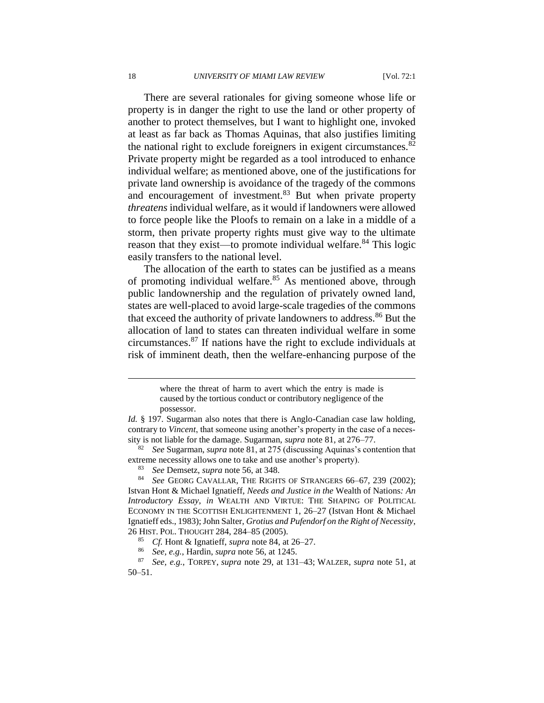There are several rationales for giving someone whose life or property is in danger the right to use the land or other property of another to protect themselves, but I want to highlight one, invoked at least as far back as Thomas Aquinas, that also justifies limiting the national right to exclude foreigners in exigent circumstances.<sup>82</sup> Private property might be regarded as a tool introduced to enhance individual welfare; as mentioned above, one of the justifications for private land ownership is avoidance of the tragedy of the commons and encouragement of investment.<sup>83</sup> But when private property *threatens* individual welfare, as it would if landowners were allowed to force people like the Ploofs to remain on a lake in a middle of a storm, then private property rights must give way to the ultimate reason that they exist—to promote individual welfare.<sup>84</sup> This logic easily transfers to the national level.

The allocation of the earth to states can be justified as a means of promoting individual welfare.<sup>85</sup> As mentioned above, through public landownership and the regulation of privately owned land, states are well-placed to avoid large-scale tragedies of the commons that exceed the authority of private landowners to address.<sup>86</sup> But the allocation of land to states can threaten individual welfare in some circumstances.<sup>87</sup> If nations have the right to exclude individuals at risk of imminent death, then the welfare-enhancing purpose of the

<sup>82</sup> *See* Sugarman, *supra* note 81, at 275 (discussing Aquinas's contention that extreme necessity allows one to take and use another's property).

See GEORG CAVALLAR, THE RIGHTS OF STRANGERS 66-67, 239 (2002); Istvan Hont & Michael Ignatieff, *Needs and Justice in the* Wealth of Nations*: An Introductory Essay*, *in* WEALTH AND VIRTUE: THE SHAPING OF POLITICAL ECONOMY IN THE SCOTTISH ENLIGHTENMENT 1, 26–27 (Istvan Hont & Michael Ignatieff eds., 1983); John Salter, *Grotius and Pufendorf on the Right of Necessity*, 26 HIST. POL. THOUGHT 284, 284–85 (2005).

where the threat of harm to avert which the entry is made is caused by the tortious conduct or contributory negligence of the possessor.

*Id.* § 197. Sugarman also notes that there is Anglo-Canadian case law holding, contrary to *Vincent*, that someone using another's property in the case of a necessity is not liable for the damage. Sugarman, *supra* note 81, at 276–77.

<sup>83</sup> *See* Demsetz, *supra* note 56, at 348.

<sup>85</sup> *Cf.* Hont & Ignatieff, *supra* note 84, at 26–27.

<sup>86</sup> *See, e.g.*, Hardin, *supra* note 56, at 1245.

<sup>87</sup> *See, e.g.*, TORPEY, *supra* note 29, at 131–43; WALZER, *supra* note 51, at 50–51.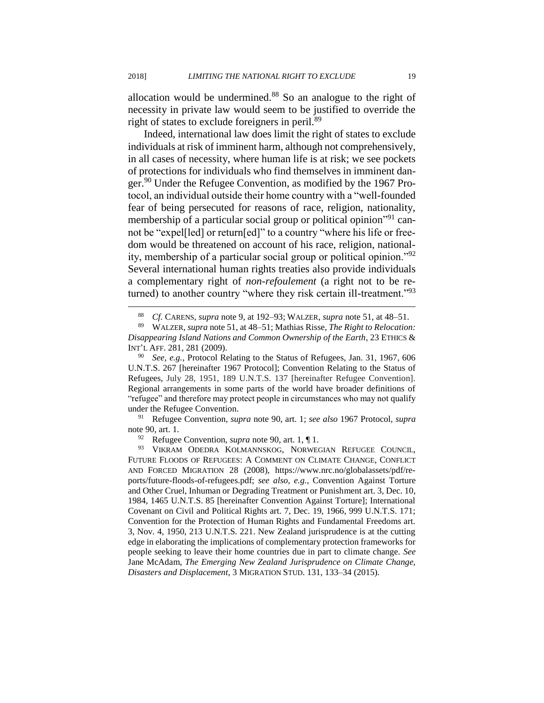allocation would be undermined.<sup>88</sup> So an analogue to the right of necessity in private law would seem to be justified to override the right of states to exclude foreigners in peril.<sup>89</sup>

Indeed, international law does limit the right of states to exclude individuals at risk of imminent harm, although not comprehensively, in all cases of necessity, where human life is at risk; we see pockets of protections for individuals who find themselves in imminent danger.<sup>90</sup> Under the Refugee Convention, as modified by the 1967 Protocol, an individual outside their home country with a "well-founded fear of being persecuted for reasons of race, religion, nationality, membership of a particular social group or political opinion"<sup>91</sup> cannot be "expel[led] or return[ed]" to a country "where his life or freedom would be threatened on account of his race, religion, nationality, membership of a particular social group or political opinion."<sup>92</sup> Several international human rights treaties also provide individuals a complementary right of *non-refoulement* (a right not to be returned) to another country "where they risk certain ill-treatment."<sup>93</sup>

<sup>91</sup> Refugee Convention, *supra* note 90, art. 1; *see also* 1967 Protocol, *supra*  note 90, art. 1.<br> $\frac{92}{P}$  Refugee

Refugee Convention, *supra* note 90, art. 1,  $\P$  1.

 $\overline{a}$ 

93 VIKRAM ODEDRA KOLMANNSKOG, NORWEGIAN REFUGEE COUNCIL, FUTURE FLOODS OF REFUGEES: A COMMENT ON CLIMATE CHANGE, CONFLICT AND FORCED MIGRATION 28 (2008), https://www.nrc.no/globalassets/pdf/reports/future-floods-of-refugees.pdf; *see also, e.g.*, Convention Against Torture and Other Cruel, Inhuman or Degrading Treatment or Punishment art. 3, Dec. 10, 1984, 1465 U.N.T.S. 85 [hereinafter Convention Against Torture]; International Covenant on Civil and Political Rights art. 7, Dec. 19, 1966, 999 U.N.T.S. 171; Convention for the Protection of Human Rights and Fundamental Freedoms art. 3, Nov. 4, 1950, 213 U.N.T.S. 221. New Zealand jurisprudence is at the cutting edge in elaborating the implications of complementary protection frameworks for people seeking to leave their home countries due in part to climate change. *See*  Jane McAdam, *The Emerging New Zealand Jurisprudence on Climate Change, Disasters and Displacement*, 3 MIGRATION STUD. 131, 133–34 (2015).

<sup>88</sup> *Cf.* CARENS, *supra* note 9, at 192–93; WALZER, *supra* note 51, at 48–51.

<sup>89</sup> WALZER, *supra* note 51, at 48–51; Mathias Risse, *The Right to Relocation: Disappearing Island Nations and Common Ownership of the Earth*, 23 ETHICS & INT'L AFF. 281, 281 (2009).

<sup>90</sup> *See, e.g.*, Protocol Relating to the Status of Refugees, Jan. 31, 1967, 606 U.N.T.S. 267 [hereinafter 1967 Protocol]; Convention Relating to the Status of Refugees, July 28, 1951, 189 U.N.T.S. 137 [hereinafter Refugee Convention]. Regional arrangements in some parts of the world have broader definitions of "refugee" and therefore may protect people in circumstances who may not qualify under the Refugee Convention.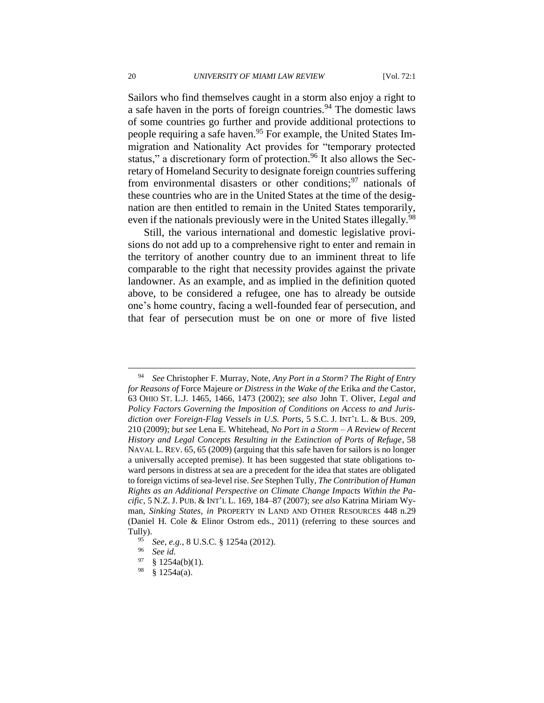Sailors who find themselves caught in a storm also enjoy a right to a safe haven in the ports of foreign countries.<sup>94</sup> The domestic laws of some countries go further and provide additional protections to people requiring a safe haven.<sup>95</sup> For example, the United States Immigration and Nationality Act provides for "temporary protected status," a discretionary form of protection.<sup>96</sup> It also allows the Secretary of Homeland Security to designate foreign countries suffering from environmental disasters or other conditions;  $97$  nationals of these countries who are in the United States at the time of the designation are then entitled to remain in the United States temporarily, even if the nationals previously were in the United States illegally.<sup>98</sup>

Still, the various international and domestic legislative provisions do not add up to a comprehensive right to enter and remain in the territory of another country due to an imminent threat to life comparable to the right that necessity provides against the private landowner. As an example, and as implied in the definition quoted above, to be considered a refugee, one has to already be outside one's home country, facing a well-founded fear of persecution, and that fear of persecution must be on one or more of five listed

<sup>94</sup> *See* Christopher F. Murray, Note, *Any Port in a Storm? The Right of Entry for Reasons of* Force Majeure *or Distress in the Wake of the* Erika *and the* Castor, 63 OHIO ST. L.J. 1465, 1466, 1473 (2002); *see also* John T. Oliver, *Legal and Policy Factors Governing the Imposition of Conditions on Access to and Jurisdiction over Foreign-Flag Vessels in U.S. Ports*, 5 S.C. J. INT'L L. & BUS. 209, 210 (2009); *but see* Lena E. Whitehead, *No Port in a Storm – A Review of Recent History and Legal Concepts Resulting in the Extinction of Ports of Refuge*, 58 NAVAL L. REV. 65, 65 (2009) (arguing that this safe haven for sailors is no longer a universally accepted premise). It has been suggested that state obligations toward persons in distress at sea are a precedent for the idea that states are obligated to foreign victims of sea-level rise. *See* Stephen Tully, *The Contribution of Human Rights as an Additional Perspective on Climate Change Impacts Within the Pacific*, 5 N.Z. J. PUB. & INT'L L. 169, 184–87 (2007); *see also* Katrina Miriam Wyman, *Sinking States*, *in* PROPERTY IN LAND AND OTHER RESOURCES 448 n.29 (Daniel H. Cole & Elinor Ostrom eds., 2011) (referring to these sources and Tully).

<sup>95</sup> *See, e.g.*, 8 U.S.C. § 1254a (2012).

<sup>96</sup> *See id.*

 $\frac{97}{98}$  § 1254a(b)(1).

 $$ 1254a(a).$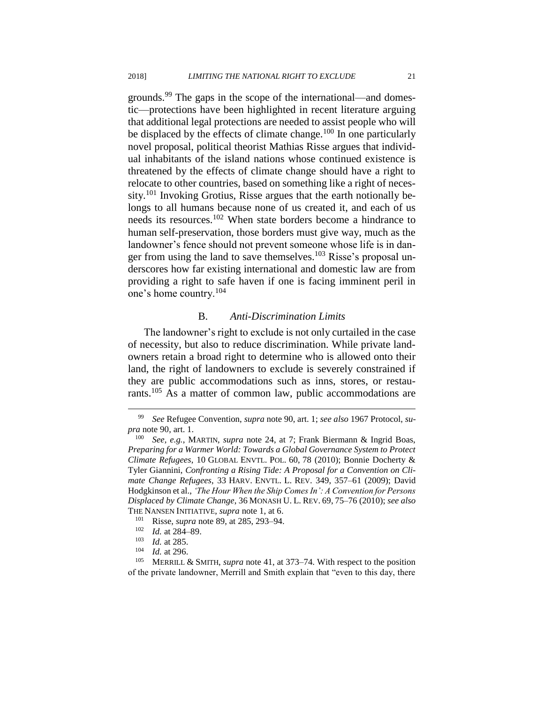grounds.<sup>99</sup> The gaps in the scope of the international—and domestic—protections have been highlighted in recent literature arguing that additional legal protections are needed to assist people who will be displaced by the effects of climate change.<sup>100</sup> In one particularly novel proposal, political theorist Mathias Risse argues that individual inhabitants of the island nations whose continued existence is threatened by the effects of climate change should have a right to relocate to other countries, based on something like a right of necessity.<sup>101</sup> Invoking Grotius, Risse argues that the earth notionally belongs to all humans because none of us created it, and each of us needs its resources.<sup>102</sup> When state borders become a hindrance to human self-preservation, those borders must give way, much as the landowner's fence should not prevent someone whose life is in danger from using the land to save themselves.<sup>103</sup> Risse's proposal underscores how far existing international and domestic law are from providing a right to safe haven if one is facing imminent peril in one's home country.<sup>104</sup>

#### B. *Anti-Discrimination Limits*

The landowner's right to exclude is not only curtailed in the case of necessity, but also to reduce discrimination. While private landowners retain a broad right to determine who is allowed onto their land, the right of landowners to exclude is severely constrained if they are public accommodations such as inns, stores, or restaurants.<sup>105</sup> As a matter of common law, public accommodations are

<sup>99</sup> *See* Refugee Convention, *supra* note 90, art. 1; *see also* 1967 Protocol, *supra* note 90, art. 1.

<sup>100</sup> *See, e.g.*, MARTIN, *supra* note 24, at 7; Frank Biermann & Ingrid Boas, *Preparing for a Warmer World: Towards a Global Governance System to Protect Climate Refugees*, 10 GLOBAL ENVTL. POL. 60, 78 (2010); Bonnie Docherty & Tyler Giannini, *Confronting a Rising Tide: A Proposal for a Convention on Climate Change Refugees*, 33 HARV. ENVTL. L. REV. 349, 357–61 (2009); David Hodgkinson et al., *'The Hour When the Ship Comes In': A Convention for Persons Displaced by Climate Change*, 36 MONASH U. L. REV. 69, 75–76 (2010); *see also* THE NANSEN INITIATIVE, *supra* note [1,](#page-2-0) at 6.

<sup>101</sup> Risse, *supra* note 89, at 285, 293–94.

 $\frac{102}{103}$  *Id.* at 284–89.

 $\frac{103}{104}$  *Id.* at 285.

 $\frac{104}{105}$  *Id.* at 296.

<sup>105</sup> MERRILL & SMITH, *supra* note 41, at 373–74. With respect to the position of the private landowner, Merrill and Smith explain that "even to this day, there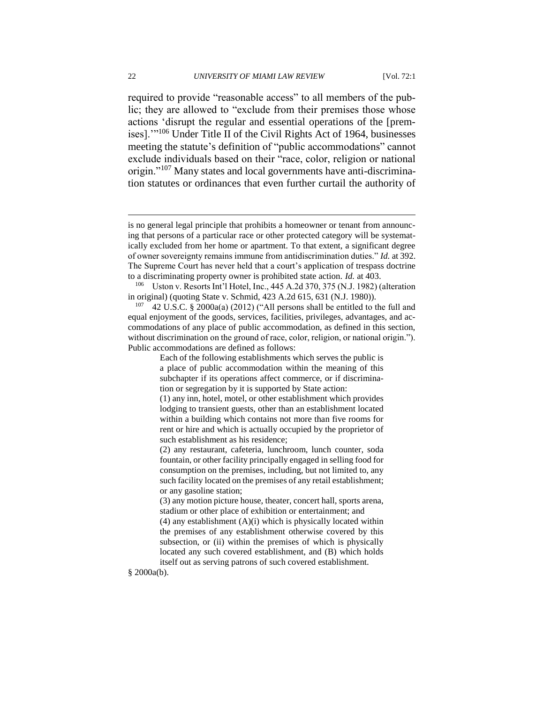required to provide "reasonable access" to all members of the public; they are allowed to "exclude from their premises those whose actions 'disrupt the regular and essential operations of the [premises].'"<sup>106</sup> Under Title II of the Civil Rights Act of 1964, businesses meeting the statute's definition of "public accommodations" cannot exclude individuals based on their "race, color, religion or national origin."<sup>107</sup> Many states and local governments have anti-discrimination statutes or ordinances that even further curtail the authority of

§ 2000a(b).

is no general legal principle that prohibits a homeowner or tenant from announcing that persons of a particular race or other protected category will be systematically excluded from her home or apartment. To that extent, a significant degree of owner sovereignty remains immune from antidiscrimination duties." *Id.* at 392. The Supreme Court has never held that a court's application of trespass doctrine to a discriminating property owner is prohibited state action. *Id.* at 403.

<sup>106</sup> Uston v. Resorts Int'l Hotel, Inc., 445 A.2d 370, 375 (N.J. 1982) (alteration in original) (quoting State v. Schmid, 423 A.2d 615, 631 (N.J. 1980)).

<sup>&</sup>lt;sup>107</sup> 42 U.S.C. § 2000a(a) (2012) ("All persons shall be entitled to the full and equal enjoyment of the goods, services, facilities, privileges, advantages, and accommodations of any place of public accommodation, as defined in this section, without discrimination on the ground of race, color, religion, or national origin."). Public accommodations are defined as follows:

Each of the following establishments which serves the public is a place of public accommodation within the meaning of this subchapter if its operations affect commerce, or if discrimination or segregation by it is supported by State action:

<sup>(1)</sup> any inn, hotel, motel, or other establishment which provides lodging to transient guests, other than an establishment located within a building which contains not more than five rooms for rent or hire and which is actually occupied by the proprietor of such establishment as his residence;

<sup>(2)</sup> any restaurant, cafeteria, lunchroom, lunch counter, soda fountain, or other facility principally engaged in selling food for consumption on the premises, including, but not limited to, any such facility located on the premises of any retail establishment; or any gasoline station;

<sup>(3)</sup> any motion picture house, theater, concert hall, sports arena, stadium or other place of exhibition or entertainment; and

<sup>(4)</sup> any establishment (A)(i) which is physically located within the premises of any establishment otherwise covered by this subsection, or (ii) within the premises of which is physically located any such covered establishment, and (B) which holds itself out as serving patrons of such covered establishment.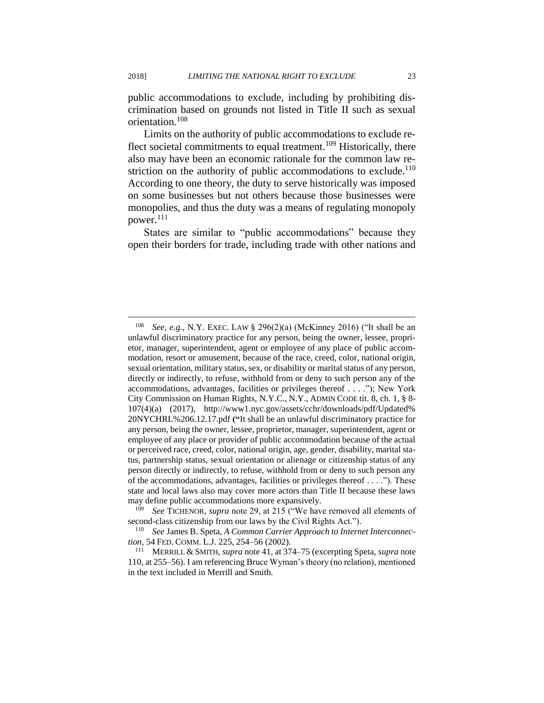public accommodations to exclude, including by prohibiting discrimination based on grounds not listed in Title II such as sexual orientation.<sup>108</sup>

Limits on the authority of public accommodations to exclude reflect societal commitments to equal treatment.<sup>109</sup> Historically, there also may have been an economic rationale for the common law restriction on the authority of public accommodations to exclude.<sup>110</sup> According to one theory, the duty to serve historically was imposed on some businesses but not others because those businesses were monopolies, and thus the duty was a means of regulating monopoly power.<sup>111</sup>

States are similar to "public accommodations" because they open their borders for trade, including trade with other nations and

<sup>108</sup> *See, e.g.*, N.Y. EXEC. LAW § 296(2)(a) (McKinney 2016) ("It shall be an unlawful discriminatory practice for any person, being the owner, lessee, proprietor, manager, superintendent, agent or employee of any place of public accommodation, resort or amusement, because of the race, creed, color, national origin, sexual orientation, military status, sex, or disability or marital status of any person, directly or indirectly, to refuse, withhold from or deny to such person any of the accommodations, advantages, facilities or privileges thereof . . . ."); New York City Commission on Human Rights, N.Y.C., N.Y., ADMIN CODE tit. 8, ch. 1, § 8- 107(4)(a) (2017), http://www1.nyc.gov/assets/cchr/downloads/pdf/Updated% 20NYCHRL%206.12.17.pdf **("**It shall be an unlawful discriminatory practice for any person, being the owner, lessee, proprietor, manager, superintendent, agent or employee of any place or provider of public accommodation because of the actual or perceived race, creed, color, national origin, age, gender, disability, marital status, partnership status, sexual orientation or alienage or citizenship status of any person directly or indirectly, to refuse, withhold from or deny to such person any of the accommodations, advantages, facilities or privileges thereof  $\dots$ ."). These state and local laws also may cover more actors than Title II because these laws may define public accommodations more expansively.

<sup>109</sup> *See* TICHENOR, *supra* note 29, at 215 ("We have removed all elements of second-class citizenship from our laws by the Civil Rights Act.").

<sup>110</sup> *See* James B. Speta, *A Common Carrier Approach to Internet Interconnection*, 54 FED. COMM. L.J. 225, 254–56 (2002).

<sup>111</sup> MERRILL & SMITH, *supra* note 41, at 374–75 (excerpting Speta, *supra* note 110, at 255–56). I am referencing Bruce Wyman's theory (no relation), mentioned in the text included in Merrill and Smith.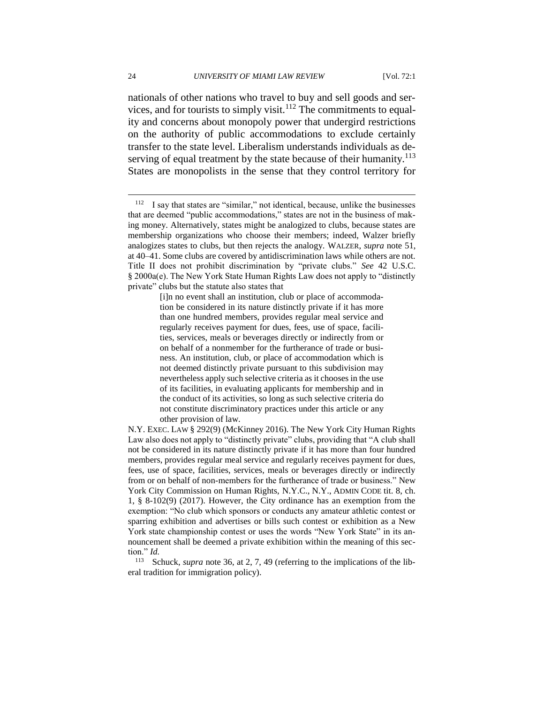nationals of other nations who travel to buy and sell goods and services, and for tourists to simply visit.<sup>112</sup> The commitments to equality and concerns about monopoly power that undergird restrictions on the authority of public accommodations to exclude certainly transfer to the state level. Liberalism understands individuals as deserving of equal treatment by the state because of their humanity.<sup>113</sup> States are monopolists in the sense that they control territory for

[i]n no event shall an institution, club or place of accommodation be considered in its nature distinctly private if it has more than one hundred members, provides regular meal service and regularly receives payment for dues, fees, use of space, facilities, services, meals or beverages directly or indirectly from or on behalf of a nonmember for the furtherance of trade or business. An institution, club, or place of accommodation which is not deemed distinctly private pursuant to this subdivision may nevertheless apply such selective criteria as it chooses in the use of its facilities, in evaluating applicants for membership and in the conduct of its activities, so long as such selective criteria do not constitute discriminatory practices under this article or any other provision of law.

N.Y. EXEC. LAW § 292(9) (McKinney 2016). The New York City Human Rights Law also does not apply to "distinctly private" clubs, providing that "A club shall not be considered in its nature distinctly private if it has more than four hundred members, provides regular meal service and regularly receives payment for dues, fees, use of space, facilities, services, meals or beverages directly or indirectly from or on behalf of non-members for the furtherance of trade or business." New York City Commission on Human Rights, N.Y.C., N.Y., ADMIN CODE tit. 8, ch. 1, § 8-102(9) (2017). However, the City ordinance has an exemption from the exemption: "No club which sponsors or conducts any amateur athletic contest or sparring exhibition and advertises or bills such contest or exhibition as a New York state championship contest or uses the words "New York State" in its announcement shall be deemed a private exhibition within the meaning of this section."  $Id$ .<br><sup>113</sup>  $g_e$ 

Schuck, *supra* note 36, at 2, 7, 49 (referring to the implications of the liberal tradition for immigration policy).

<sup>112</sup> I say that states are "similar," not identical, because, unlike the businesses that are deemed "public accommodations," states are not in the business of making money. Alternatively, states might be analogized to clubs, because states are membership organizations who choose their members; indeed, Walzer briefly analogizes states to clubs, but then rejects the analogy. WALZER, *supra* note 51, at 40–41. Some clubs are covered by antidiscrimination laws while others are not. Title II does not prohibit discrimination by "private clubs." *See* 42 U.S.C. § 2000a(e). The New York State Human Rights Law does not apply to "distinctly private" clubs but the statute also states that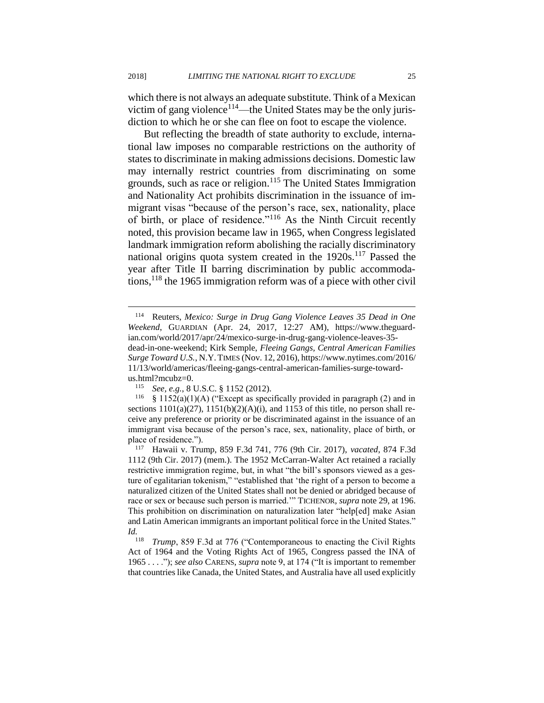which there is not always an adequate substitute. Think of a Mexican victim of gang violence<sup>114</sup>—the United States may be the only jurisdiction to which he or she can flee on foot to escape the violence.

But reflecting the breadth of state authority to exclude, international law imposes no comparable restrictions on the authority of states to discriminate in making admissions decisions. Domestic law may internally restrict countries from discriminating on some grounds, such as race or religion.<sup>115</sup> The United States Immigration and Nationality Act prohibits discrimination in the issuance of immigrant visas "because of the person's race, sex, nationality, place of birth, or place of residence."<sup>116</sup> As the Ninth Circuit recently noted, this provision became law in 1965, when Congress legislated landmark immigration reform abolishing the racially discriminatory national origins quota system created in the  $1920s$ .<sup>117</sup> Passed the year after Title II barring discrimination by public accommodations,<sup>118</sup> the 1965 immigration reform was of a piece with other civil

<sup>114</sup> Reuters, *Mexico: Surge in Drug Gang Violence Leaves 35 Dead in One Weekend*, GUARDIAN (Apr. 24, 2017, 12:27 AM), https://www.theguardian.com/world/2017/apr/24/mexico-surge-in-drug-gang-violence-leaves-35 dead-in-one-weekend; Kirk Semple, *Fleeing Gangs, Central American Families Surge Toward U.S.*, N.Y.TIMES (Nov. 12, 2016), https://www.nytimes.com/2016/ 11/13/world/americas/fleeing-gangs-central-american-families-surge-towardus.html?mcubz=0.<br> $\frac{115}{\text{See} \cdot \text{e} \cdot \text{g}}$ 

<sup>115</sup> *See, e.g.*, 8 U.S.C. § 1152 (2012).

<sup>&</sup>lt;sup>116</sup> § 1152(a)(1)(A) ("Except as specifically provided in paragraph (2) and in sections  $1101(a)(27)$ ,  $1151(b)(2)(A)(i)$ , and  $1153$  of this title, no person shall receive any preference or priority or be discriminated against in the issuance of an immigrant visa because of the person's race, sex, nationality, place of birth, or place of residence.").<br> $\frac{117}{117}$  Hawaii y Tru

<sup>117</sup> Hawaii v. Trump, 859 F.3d 741, 776 (9th Cir. 2017), *vacated*, 874 F.3d 1112 (9th Cir. 2017) (mem.). The 1952 McCarran-Walter Act retained a racially restrictive immigration regime, but, in what "the bill's sponsors viewed as a gesture of egalitarian tokenism," "established that 'the right of a person to become a naturalized citizen of the United States shall not be denied or abridged because of race or sex or because such person is married.'" TICHENOR, *supra* note 29, at 196. This prohibition on discrimination on naturalization later "help[ed] make Asian and Latin American immigrants an important political force in the United States." *Id.*

*Trump*, 859 F.3d at 776 ("Contemporaneous to enacting the Civil Rights Act of 1964 and the Voting Rights Act of 1965, Congress passed the INA of 1965 . . . ."); *see also* CARENS, *supra* note 9, at 174 ("It is important to remember that countries like Canada, the United States, and Australia have all used explicitly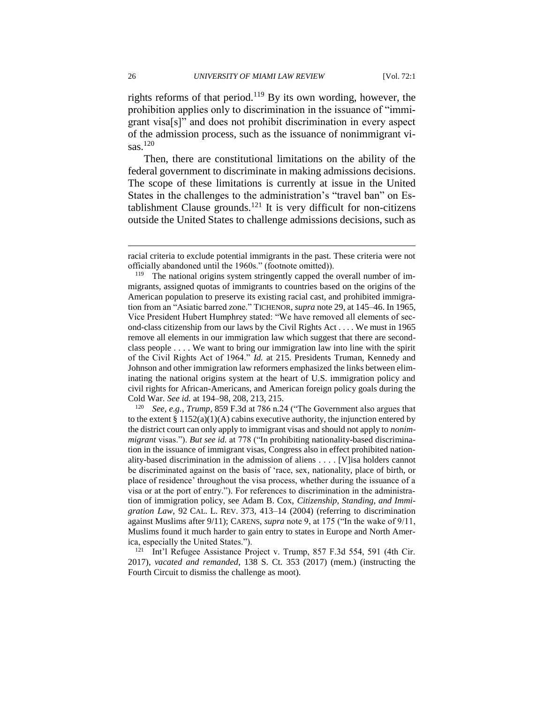rights reforms of that period.<sup>119</sup> By its own wording, however, the prohibition applies only to discrimination in the issuance of "immigrant visa[s]" and does not prohibit discrimination in every aspect of the admission process, such as the issuance of nonimmigrant visas.<sup>120</sup>

Then, there are constitutional limitations on the ability of the federal government to discriminate in making admissions decisions. The scope of these limitations is currently at issue in the United States in the challenges to the administration's "travel ban" on Establishment Clause grounds.<sup>121</sup> It is very difficult for non-citizens outside the United States to challenge admissions decisions, such as

<sup>120</sup> *See, e.g.*, *Trump*, 859 F.3d at 786 n.24 ("The Government also argues that to the extent  $\S 1152(a)(1)(A)$  cabins executive authority, the injunction entered by the district court can only apply to immigrant visas and should not apply to *nonimmigrant* visas."). *But see id.* at 778 ("In prohibiting nationality-based discrimination in the issuance of immigrant visas, Congress also in effect prohibited nationality-based discrimination in the admission of aliens . . . . [V]isa holders cannot be discriminated against on the basis of 'race, sex, nationality, place of birth, or place of residence' throughout the visa process, whether during the issuance of a visa or at the port of entry."). For references to discrimination in the administration of immigration policy, see Adam B. Cox, *Citizenship, Standing, and Immigration Law*, 92 CAL. L. REV. 373, 413–14 (2004) (referring to discrimination against Muslims after 9/11); CARENS, *supra* note 9, at 175 ("In the wake of 9/11, Muslims found it much harder to gain entry to states in Europe and North America, especially the United States.").

<sup>121</sup> Int'l Refugee Assistance Project v. Trump, 857 F.3d 554, 591 (4th Cir. 2017), *vacated and remanded*, 138 S. Ct. 353 (2017) (mem.) (instructing the Fourth Circuit to dismiss the challenge as moot).

racial criteria to exclude potential immigrants in the past. These criteria were not officially abandoned until the 1960s." (footnote omitted)).

<sup>&</sup>lt;sup>119</sup> The national origins system stringently capped the overall number of immigrants, assigned quotas of immigrants to countries based on the origins of the American population to preserve its existing racial cast, and prohibited immigration from an "Asiatic barred zone." TICHENOR, *supra* note 29, at 145–46. In 1965, Vice President Hubert Humphrey stated: "We have removed all elements of second-class citizenship from our laws by the Civil Rights Act . . . . We must in 1965 remove all elements in our immigration law which suggest that there are secondclass people . . . . We want to bring our immigration law into line with the spirit of the Civil Rights Act of 1964." *Id.* at 215. Presidents Truman, Kennedy and Johnson and other immigration law reformers emphasized the links between eliminating the national origins system at the heart of U.S. immigration policy and civil rights for African-Americans, and American foreign policy goals during the Cold War. *See id.* at 194–98, 208, 213, 215.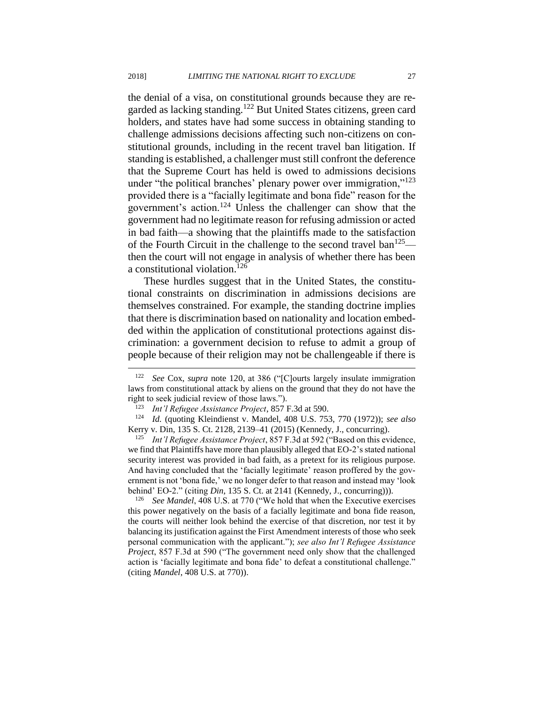the denial of a visa, on constitutional grounds because they are regarded as lacking standing.<sup>122</sup> But United States citizens, green card holders, and states have had some success in obtaining standing to challenge admissions decisions affecting such non-citizens on constitutional grounds, including in the recent travel ban litigation. If standing is established, a challenger must still confront the deference that the Supreme Court has held is owed to admissions decisions under "the political branches' plenary power over immigration,"<sup>123</sup> provided there is a "facially legitimate and bona fide" reason for the government's action.<sup>124</sup> Unless the challenger can show that the government had no legitimate reason for refusing admission or acted in bad faith––a showing that the plaintiffs made to the satisfaction of the Fourth Circuit in the challenge to the second travel ban<sup>125</sup> then the court will not engage in analysis of whether there has been a constitutional violation.<sup>126</sup>

These hurdles suggest that in the United States, the constitutional constraints on discrimination in admissions decisions are themselves constrained. For example, the standing doctrine implies that there is discrimination based on nationality and location embedded within the application of constitutional protections against discrimination: a government decision to refuse to admit a group of people because of their religion may not be challengeable if there is

<sup>122</sup> *See* Cox, *supra* note 120, at 386 ("[C]ourts largely insulate immigration laws from constitutional attack by aliens on the ground that they do not have the right to seek judicial review of those laws.").

<sup>123</sup> *Int'l Refugee Assistance Project*, 857 F.3d at 590.

<sup>124</sup> *Id.* (quoting Kleindienst v. Mandel, 408 U.S. 753, 770 (1972)); *see also* Kerry v. Din, 135 S. Ct. 2128, 2139–41 (2015) (Kennedy, J., concurring).

<sup>125</sup> *Int'l Refugee Assistance Project*, 857 F.3d at 592 ("Based on this evidence, we find that Plaintiffs have more than plausibly alleged that EO-2's stated national security interest was provided in bad faith, as a pretext for its religious purpose. And having concluded that the 'facially legitimate' reason proffered by the government is not 'bona fide,' we no longer defer to that reason and instead may 'look behind' EO-2." (citing *Din*, 135 S. Ct. at 2141 (Kennedy, J., concurring))).

<sup>&</sup>lt;sup>126</sup> *See Mandel*, 408 U.S. at 770 ("We hold that when the Executive exercises" this power negatively on the basis of a facially legitimate and bona fide reason, the courts will neither look behind the exercise of that discretion, nor test it by balancing its justification against the First Amendment interests of those who seek personal communication with the applicant."); *see also Int'l Refugee Assistance Project*, 857 F.3d at 590 ("The government need only show that the challenged action is 'facially legitimate and bona fide' to defeat a constitutional challenge." (citing *Mandel*, 408 U.S. at 770)).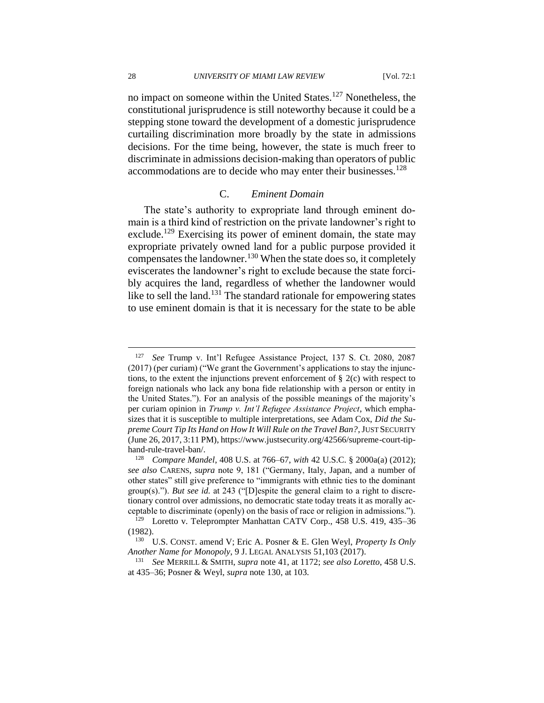28 *UNIVERSITY OF MIAMI LAW REVIEW* [Vol. 72:1

no impact on someone within the United States.<sup>127</sup> Nonetheless, the constitutional jurisprudence is still noteworthy because it could be a stepping stone toward the development of a domestic jurisprudence curtailing discrimination more broadly by the state in admissions decisions. For the time being, however, the state is much freer to discriminate in admissions decision-making than operators of public accommodations are to decide who may enter their businesses.<sup>128</sup>

#### C. *Eminent Domain*

The state's authority to expropriate land through eminent domain is a third kind of restriction on the private landowner's right to exclude.<sup>129</sup> Exercising its power of eminent domain, the state may expropriate privately owned land for a public purpose provided it compensates the landowner.<sup>130</sup> When the state does so, it completely eviscerates the landowner's right to exclude because the state forcibly acquires the land, regardless of whether the landowner would like to sell the land.<sup>131</sup> The standard rationale for empowering states to use eminent domain is that it is necessary for the state to be able

<sup>127</sup> *See* Trump v. Int'l Refugee Assistance Project, 137 S. Ct. 2080, 2087 (2017) (per curiam) ("We grant the Government's applications to stay the injunctions, to the extent the injunctions prevent enforcement of  $\S 2(c)$  with respect to foreign nationals who lack any bona fide relationship with a person or entity in the United States."). For an analysis of the possible meanings of the majority's per curiam opinion in *Trump v. Int'l Refugee Assistance Project*, which emphasizes that it is susceptible to multiple interpretations, see Adam Cox, *Did the Supreme Court Tip Its Hand on How It Will Rule on the Travel Ban?*, JUST SECURITY (June 26, 2017, 3:11 PM), https://www.justsecurity.org/42566/supreme-court-tiphand-rule-travel-ban/.

<sup>128</sup> *Compare Mandel*, 408 U.S. at 766–67, *with* 42 U.S.C. § 2000a(a) (2012); *see also* CARENS, *supra* note 9, 181 ("Germany, Italy, Japan, and a number of other states" still give preference to "immigrants with ethnic ties to the dominant group(s)."). *But see id.* at 243 ("[D]espite the general claim to a right to discretionary control over admissions, no democratic state today treats it as morally acceptable to discriminate (openly) on the basis of race or religion in admissions.").

<sup>&</sup>lt;sup>129</sup> Loretto v. Teleprompter Manhattan CATV Corp., 458 U.S. 419, 435-36 (1982).

<sup>130</sup> U.S. CONST. amend V; Eric A. Posner & E. Glen Weyl, *Property Is Only Another Name for Monopoly*, 9 J. LEGAL ANALYSIS 51,103 (2017).

<sup>131</sup> *See* MERRILL & SMITH, *supra* note 41, at 1172; *see also Loretto*, 458 U.S. at 435–36; Posner & Weyl, *supra* note 130, at 103.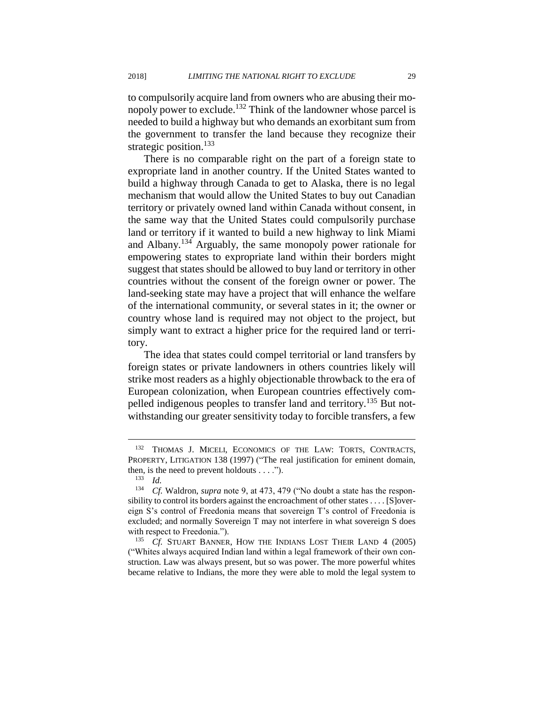to compulsorily acquire land from owners who are abusing their monopoly power to exclude.<sup>132</sup> Think of the landowner whose parcel is needed to build a highway but who demands an exorbitant sum from the government to transfer the land because they recognize their strategic position.<sup>133</sup>

There is no comparable right on the part of a foreign state to expropriate land in another country. If the United States wanted to build a highway through Canada to get to Alaska, there is no legal mechanism that would allow the United States to buy out Canadian territory or privately owned land within Canada without consent, in the same way that the United States could compulsorily purchase land or territory if it wanted to build a new highway to link Miami and Albany.<sup>134</sup> Arguably, the same monopoly power rationale for empowering states to expropriate land within their borders might suggest that states should be allowed to buy land or territory in other countries without the consent of the foreign owner or power. The land-seeking state may have a project that will enhance the welfare of the international community, or several states in it; the owner or country whose land is required may not object to the project, but simply want to extract a higher price for the required land or territory.

The idea that states could compel territorial or land transfers by foreign states or private landowners in others countries likely will strike most readers as a highly objectionable throwback to the era of European colonization, when European countries effectively compelled indigenous peoples to transfer land and territory.<sup>135</sup> But notwithstanding our greater sensitivity today to forcible transfers, a few

<sup>132</sup> THOMAS J. MICELI, ECONOMICS OF THE LAW: TORTS, CONTRACTS, PROPERTY, LITIGATION 138 (1997) ("The real justification for eminent domain, then, is the need to prevent holdouts  $\dots$ .").

<sup>133</sup> *Id.*

<sup>134</sup> *Cf.* Waldron, *supra* note 9, at 473, 479 ("No doubt a state has the responsibility to control its borders against the encroachment of other states . . . . [S]overeign S's control of Freedonia means that sovereign T's control of Freedonia is excluded; and normally Sovereign T may not interfere in what sovereign S does with respect to Freedonia.").

<sup>&</sup>lt;sup>135</sup> *Cf.* STUART BANNER, HOW THE INDIANS LOST THEIR LAND 4 (2005) ("Whites always acquired Indian land within a legal framework of their own construction. Law was always present, but so was power. The more powerful whites became relative to Indians, the more they were able to mold the legal system to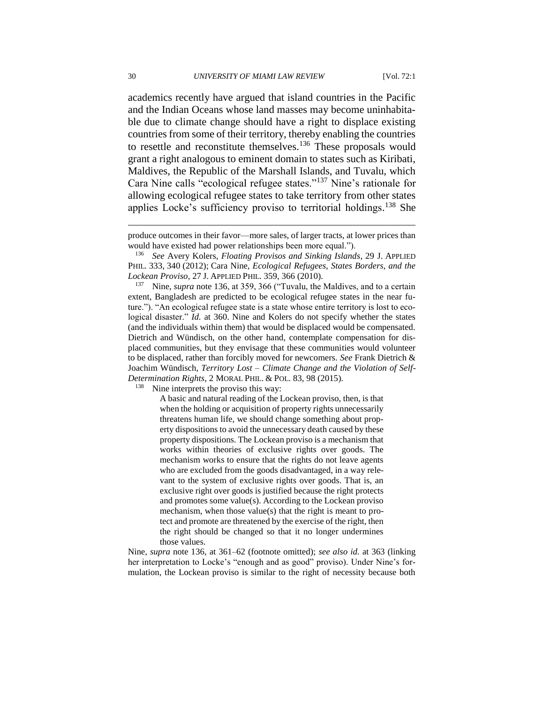academics recently have argued that island countries in the Pacific and the Indian Oceans whose land masses may become uninhabitable due to climate change should have a right to displace existing countries from some of their territory, thereby enabling the countries to resettle and reconstitute themselves.<sup>136</sup> These proposals would grant a right analogous to eminent domain to states such as Kiribati, Maldives, the Republic of the Marshall Islands, and Tuvalu, which Cara Nine calls "ecological refugee states."<sup>137</sup> Nine's rationale for allowing ecological refugee states to take territory from other states applies Locke's sufficiency proviso to territorial holdings.<sup>138</sup> She

<sup>138</sup> Nine interprets the proviso this way:

A basic and natural reading of the Lockean proviso, then, is that when the holding or acquisition of property rights unnecessarily threatens human life, we should change something about property dispositions to avoid the unnecessary death caused by these property dispositions. The Lockean proviso is a mechanism that works within theories of exclusive rights over goods. The mechanism works to ensure that the rights do not leave agents who are excluded from the goods disadvantaged, in a way relevant to the system of exclusive rights over goods. That is, an exclusive right over goods is justified because the right protects and promotes some value(s). According to the Lockean proviso mechanism, when those value(s) that the right is meant to protect and promote are threatened by the exercise of the right, then the right should be changed so that it no longer undermines those values.

Nine, *supra* note 136, at 361–62 (footnote omitted); *see also id.* at 363 (linking her interpretation to Locke's "enough and as good" proviso). Under Nine's formulation, the Lockean proviso is similar to the right of necessity because both

produce outcomes in their favor—more sales, of larger tracts, at lower prices than would have existed had power relationships been more equal.").

<sup>136</sup> *See* Avery Kolers, *Floating Provisos and Sinking Islands*, 29 J. APPLIED PHIL. 333, 340 (2012); Cara Nine, *Ecological Refugees, States Borders, and the Lockean Proviso*, 27 J. APPLIED PHIL. 359, 366 (2010).

<sup>137</sup> Nine, *supra* note 136, at 359, 366 ("Tuvalu, the Maldives, and to a certain extent, Bangladesh are predicted to be ecological refugee states in the near future."). "An ecological refugee state is a state whose entire territory is lost to ecological disaster." *Id.* at 360. Nine and Kolers do not specify whether the states (and the individuals within them) that would be displaced would be compensated. Dietrich and Wündisch, on the other hand, contemplate compensation for displaced communities, but they envisage that these communities would volunteer to be displaced, rather than forcibly moved for newcomers. *See* Frank Dietrich & Joachim Wündisch, *Territory Lost – Climate Change and the Violation of Self-Determination Rights*, 2 MORAL PHIL. & POL. 83, 98 (2015).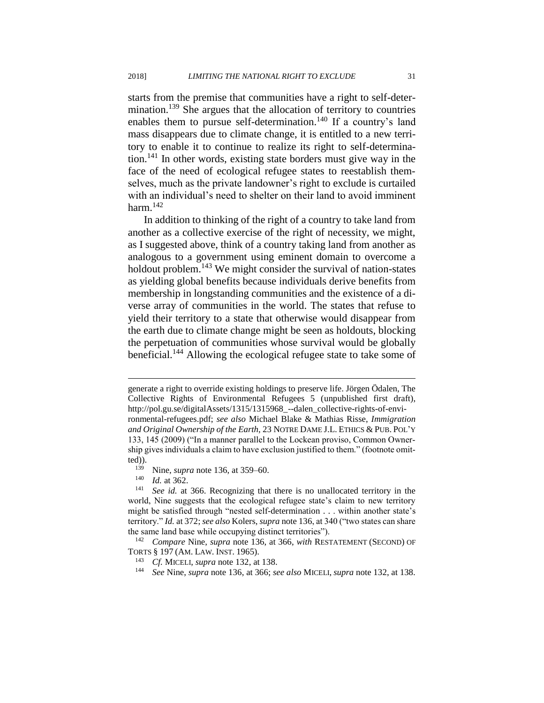starts from the premise that communities have a right to self-determination.<sup>139</sup> She argues that the allocation of territory to countries enables them to pursue self-determination.<sup>140</sup> If a country's land mass disappears due to climate change, it is entitled to a new territory to enable it to continue to realize its right to self-determination.<sup>141</sup> In other words, existing state borders must give way in the face of the need of ecological refugee states to reestablish themselves, much as the private landowner's right to exclude is curtailed with an individual's need to shelter on their land to avoid imminent harm. $142$ 

In addition to thinking of the right of a country to take land from another as a collective exercise of the right of necessity, we might, as I suggested above, think of a country taking land from another as analogous to a government using eminent domain to overcome a holdout problem.<sup>143</sup> We might consider the survival of nation-states as yielding global benefits because individuals derive benefits from membership in longstanding communities and the existence of a diverse array of communities in the world. The states that refuse to yield their territory to a state that otherwise would disappear from the earth due to climate change might be seen as holdouts, blocking the perpetuation of communities whose survival would be globally beneficial.<sup>144</sup> Allowing the ecological refugee state to take some of

*Id.* at 362.

generate a right to override existing holdings to preserve life. Jörgen Ödalen, The Collective Rights of Environmental Refugees 5 (unpublished first draft), http://pol.gu.se/digitalAssets/1315/1315968\_--dalen\_collective-rights-of-environmental-refugees.pdf; *see also* Michael Blake & Mathias Risse, *Immigration and Original Ownership of the Earth*, 23 NOTRE DAME J.L. ETHICS & PUB. POL'Y 133, 145 (2009) ("In a manner parallel to the Lockean proviso, Common Ownership gives individuals a claim to have exclusion justified to them." (footnote omitted)).

<sup>&</sup>lt;sup>139</sup> Nine, *supra* note 136, at 359–60.<br><sup>140</sup> *Id* at 362

<sup>141</sup> *See id.* at 366. Recognizing that there is no unallocated territory in the world, Nine suggests that the ecological refugee state's claim to new territory might be satisfied through "nested self-determination . . . within another state's territory." *Id.* at 372; *see also* Kolers, *supra* note 136, at 340 ("two states can share the same land base while occupying distinct territories").

<sup>142</sup> *Compare* Nine, *supra* note 136, at 366, *with* RESTATEMENT (SECOND) OF TORTS § 197 (AM. LAW. INST. 1965).

<sup>143</sup> *Cf.* MICELI, *supra* note 132, at 138.

<sup>144</sup> *See* Nine, *supra* note 136, at 366; *see also* MICELI, *supra* note 132, at 138.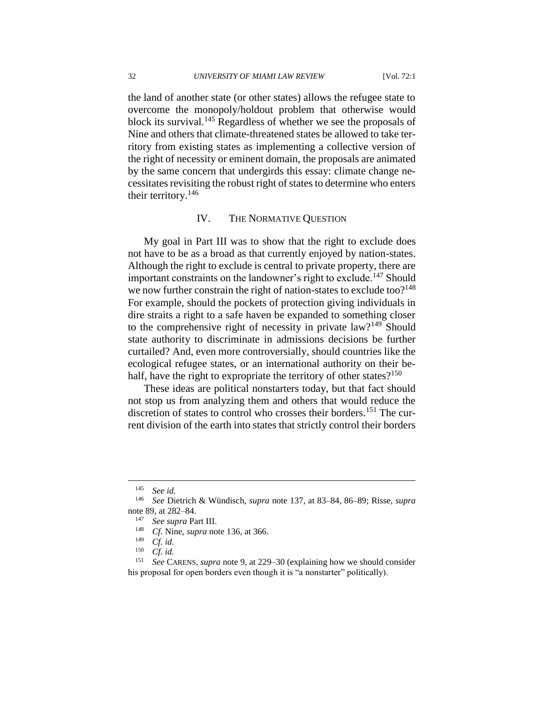the land of another state (or other states) allows the refugee state to overcome the monopoly/holdout problem that otherwise would block its survival.<sup>145</sup> Regardless of whether we see the proposals of Nine and others that climate-threatened states be allowed to take territory from existing states as implementing a collective version of the right of necessity or eminent domain, the proposals are animated by the same concern that undergirds this essay: climate change necessitates revisiting the robust right of states to determine who enters their territory. $146$ 

#### IV. THE NORMATIVE QUESTION

My goal in Part III was to show that the right to exclude does not have to be as a broad as that currently enjoyed by nation-states. Although the right to exclude is central to private property, there are important constraints on the landowner's right to exclude.<sup>147</sup> Should we now further constrain the right of nation-states to exclude too?<sup>148</sup> For example, should the pockets of protection giving individuals in dire straits a right to a safe haven be expanded to something closer to the comprehensive right of necessity in private law?<sup>149</sup> Should state authority to discriminate in admissions decisions be further curtailed? And, even more controversially, should countries like the ecological refugee states, or an international authority on their behalf, have the right to expropriate the territory of other states? $150$ 

These ideas are political nonstarters today, but that fact should not stop us from analyzing them and others that would reduce the discretion of states to control who crosses their borders.<sup>151</sup> The current division of the earth into states that strictly control their borders

<sup>145</sup> *See id.*

<sup>146</sup> *See* Dietrich & Wündisch, *supra* note 137, at 83–84, 86–89; Risse, *supra*  note 89, at 282–84.

<sup>147</sup> *See supra* Part III.

<sup>148</sup> *Cf.* Nine, *supra* note 136, at 366.

<sup>149</sup> *Cf. id.*

<sup>&</sup>lt;sup>150</sup> *Cf. id.*<br><sup>151</sup> See C.

<sup>151</sup> *See* CARENS, *supra* note 9, at 229–30 (explaining how we should consider his proposal for open borders even though it is "a nonstarter" politically).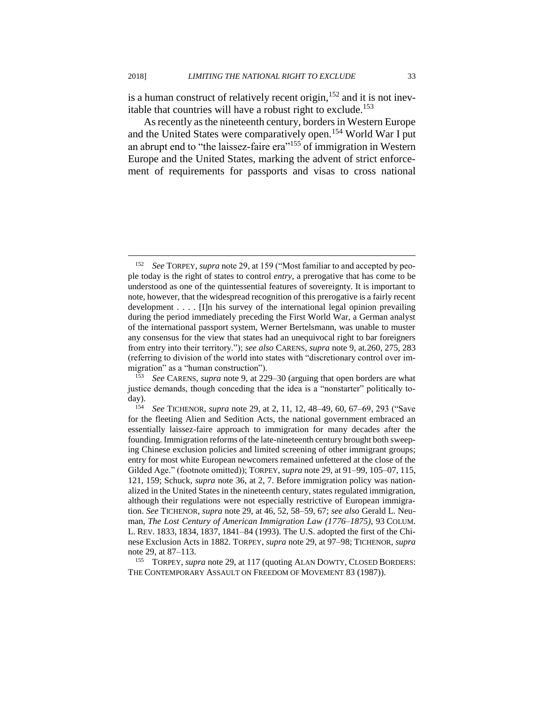is a human construct of relatively recent origin,  $152$  and it is not inevitable that countries will have a robust right to exclude.<sup>153</sup>

As recently as the nineteenth century, borders in Western Europe and the United States were comparatively open.<sup>154</sup> World War I put an abrupt end to "the laissez-faire era"<sup>155</sup> of immigration in Western Europe and the United States, marking the advent of strict enforcement of requirements for passports and visas to cross national

<sup>152</sup> *See* TORPEY, *supra* note 29, at 159 ("Most familiar to and accepted by people today is the right of states to control *entry*, a prerogative that has come to be understood as one of the quintessential features of sovereignty. It is important to note, however, that the widespread recognition of this prerogative is a fairly recent development . . . . [I]n his survey of the international legal opinion prevailing during the period immediately preceding the First World War, a German analyst of the international passport system, Werner Bertelsmann, was unable to muster any consensus for the view that states had an unequivocal right to bar foreigners from entry into their territory."); *see also* CARENS, *supra* note 9, at*.*260, 275, 283 (referring to division of the world into states with "discretionary control over immigration" as a "human construction").

<sup>153</sup> *See* CARENS, *supra* note 9, at 229–30 (arguing that open borders are what justice demands, though conceding that the idea is a "nonstarter" politically today).

<sup>154</sup> *See* TICHENOR, *supra* note 29, at 2, 11, 12, 48–49, 60, 67–69, 293 ("Save for the fleeting Alien and Sedition Acts, the national government embraced an essentially laissez-faire approach to immigration for many decades after the founding. Immigration reforms of the late-nineteenth century brought both sweeping Chinese exclusion policies and limited screening of other immigrant groups; entry for most white European newcomers remained unfettered at the close of the Gilded Age." (footnote omitted)); TORPEY, *supra* note 29, at 91–99, 105–07, 115, 121, 159; Schuck, *supra* note 36, at 2, 7. Before immigration policy was nationalized in the United States in the nineteenth century, states regulated immigration, although their regulations were not especially restrictive of European immigration. *See* TICHENOR, *supra* note 29, at 46, 52, 58–59, 67; *see also* Gerald L. Neuman, *The Lost Century of American Immigration Law (1776–1875)*, 93 COLUM. L. REV. 1833, 1834, 1837, 1841–84 (1993). The U.S. adopted the first of the Chinese Exclusion Acts in 1882. TORPEY, *supra* note 29, at 97–98; TICHENOR, *supra* note 29, at 87–113.

<sup>&</sup>lt;sup>155</sup> TORPEY, *supra* note 29, at 117 (quoting ALAN DOWTY, CLOSED BORDERS: THE CONTEMPORARY ASSAULT ON FREEDOM OF MOVEMENT 83 (1987)).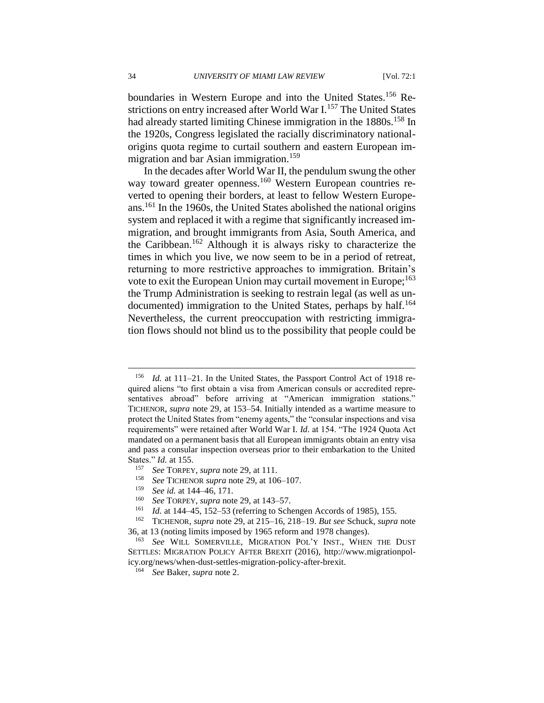boundaries in Western Europe and into the United States.<sup>156</sup> Restrictions on entry increased after World War I.<sup>157</sup> The United States had already started limiting Chinese immigration in the 1880s.<sup>158</sup> In the 1920s, Congress legislated the racially discriminatory nationalorigins quota regime to curtail southern and eastern European immigration and bar Asian immigration.<sup>159</sup>

In the decades after World War II, the pendulum swung the other way toward greater openness.<sup>160</sup> Western European countries reverted to opening their borders, at least to fellow Western Europeans.<sup>161</sup> In the 1960s, the United States abolished the national origins system and replaced it with a regime that significantly increased immigration, and brought immigrants from Asia, South America, and the Caribbean.<sup>162</sup> Although it is always risky to characterize the times in which you live, we now seem to be in a period of retreat, returning to more restrictive approaches to immigration. Britain's vote to exit the European Union may curtail movement in Europe;<sup>163</sup> the Trump Administration is seeking to restrain legal (as well as undocumented) immigration to the United States, perhaps by half.<sup>164</sup> Nevertheless, the current preoccupation with restricting immigration flows should not blind us to the possibility that people could be

- <sup>157</sup> *See* TORPEY, *supra* note 29, at 111.
- <sup>158</sup> *See* TICHENOR *supra* note 29, at 106–107.
- <sup>159</sup> *See id.* at 144–46, 171.
- <sup>160</sup> *See* TORPEY, *supra* note 29, at 143–57.
- *Id.* at 144–45, 152–53 (referring to Schengen Accords of 1985), 155.

<sup>156</sup> *Id.* at 111–21. In the United States, the Passport Control Act of 1918 required aliens "to first obtain a visa from American consuls or accredited representatives abroad" before arriving at "American immigration stations." TICHENOR, *supra* note 29, at 153–54. Initially intended as a wartime measure to protect the United States from "enemy agents," the "consular inspections and visa requirements" were retained after World War I. *Id.* at 154. "The 1924 Quota Act mandated on a permanent basis that all European immigrants obtain an entry visa and pass a consular inspection overseas prior to their embarkation to the United States." *Id.* at 155.

<sup>162</sup> TICHENOR, *supra* note 29, at 215–16, 218–19. *But see* Schuck, *supra* note 36, at 13 (noting limits imposed by 1965 reform and 1978 changes).

<sup>163</sup> *See* WILL SOMERVILLE, MIGRATION POL'Y INST., WHEN THE DUST SETTLES: MIGRATION POLICY AFTER BREXIT (2016), http://www.migrationpolicy.org/news/when-dust-settles-migration-policy-after-brexit.

<sup>164</sup> *See* Baker, *supra* note 2.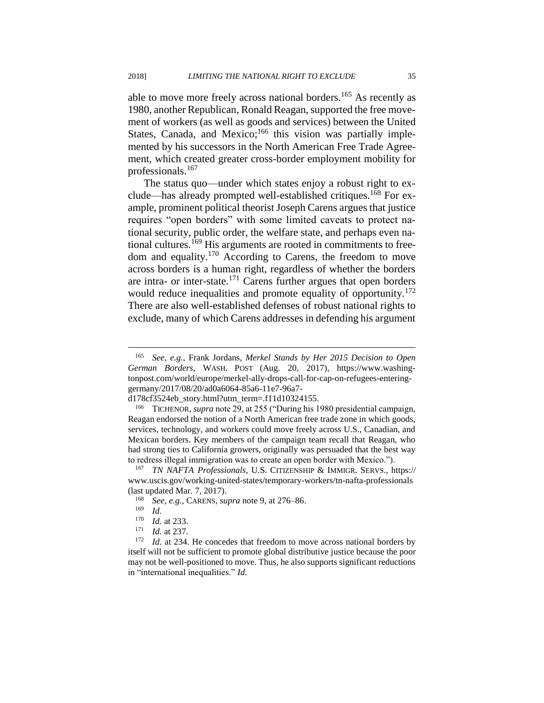able to move more freely across national borders.<sup>165</sup> As recently as 1980, another Republican, Ronald Reagan, supported the free movement of workers (as well as goods and services) between the United States, Canada, and Mexico; $166$  this vision was partially implemented by his successors in the North American Free Trade Agreement, which created greater cross-border employment mobility for professionals.<sup>167</sup>

The status quo—under which states enjoy a robust right to exclude—has already prompted well-established critiques.<sup>168</sup> For example, prominent political theorist Joseph Carens argues that justice requires "open borders" with some limited caveats to protect national security, public order, the welfare state, and perhaps even national cultures.<sup>169</sup> His arguments are rooted in commitments to freedom and equality.<sup>170</sup> According to Carens, the freedom to move across borders is a human right, regardless of whether the borders are intra- or inter-state.<sup>171</sup> Carens further argues that open borders would reduce inequalities and promote equality of opportunity.<sup>172</sup> There are also well-established defenses of robust national rights to exclude, many of which Carens addresses in defending his argument

<sup>165</sup> *See, e.g.*, Frank Jordans, *Merkel Stands by Her 2015 Decision to Open German Borders*, WASH. POST (Aug. 20, 2017), https://www.washingtonpost.com/world/europe/merkel-ally-drops-call-for-cap-on-refugees-enteringgermany/2017/08/20/ad0a6064-85a6-11e7-96a7-

d178cf3524eb\_story.html?utm\_term=.f11d10324155.

<sup>166</sup> TICHENOR, *supra* note 29, at 255 ("During his 1980 presidential campaign, Reagan endorsed the notion of a North American free trade zone in which goods, services, technology, and workers could move freely across U.S., Canadian, and Mexican borders. Key members of the campaign team recall that Reagan, who had strong ties to California growers, originally was persuaded that the best way to redress illegal immigration was to create an open border with Mexico.").

<sup>167</sup> *TN NAFTA Professionals*, U.S. CITIZENSHIP & IMMIGR. SERVS., https:// www.uscis.gov/working-united-states/temporary-workers/tn-nafta-professionals (last updated Mar. 7, 2017).<br> $\frac{168}{200}$  See a.g. CARENS, 544

<sup>168</sup> *See, e.g.*, CARENS, *supra* note 9, at 276–86.

*Id.* 

<sup>170</sup> *Id.* at 233.

 $\frac{171}{172}$  *Id.* at 237.

Id. at 234. He concedes that freedom to move across national borders by itself will not be sufficient to promote global distributive justice because the poor may not be well-positioned to move. Thus, he also supports significant reductions in "international inequalities." *Id.*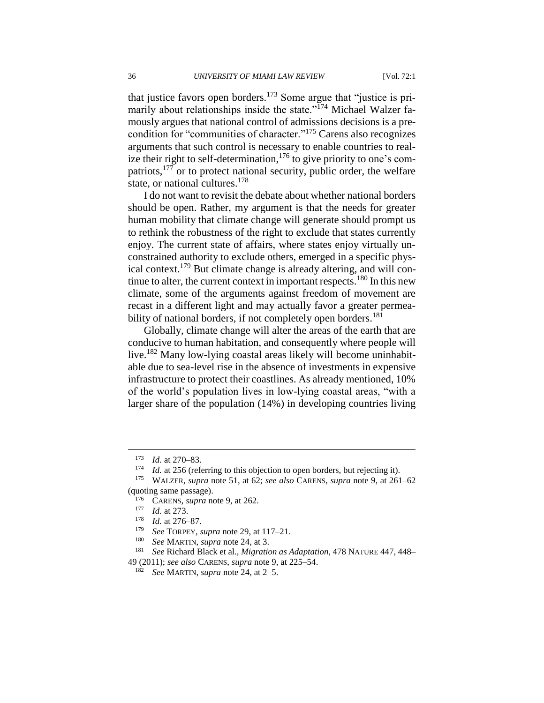that justice favors open borders.<sup>173</sup> Some argue that "justice is primarily about relationships inside the state."<sup>174</sup> Michael Walzer famously argues that national control of admissions decisions is a precondition for "communities of character."<sup>175</sup> Carens also recognizes arguments that such control is necessary to enable countries to realize their right to self-determination,<sup>176</sup> to give priority to one's compatriots,<sup>177</sup> or to protect national security, public order, the welfare state, or national cultures.<sup>178</sup>

I do not want to revisit the debate about whether national borders should be open. Rather, my argument is that the needs for greater human mobility that climate change will generate should prompt us to rethink the robustness of the right to exclude that states currently enjoy. The current state of affairs, where states enjoy virtually unconstrained authority to exclude others, emerged in a specific physical context.<sup>179</sup> But climate change is already altering, and will continue to alter, the current context in important respects.<sup>180</sup> In this new climate, some of the arguments against freedom of movement are recast in a different light and may actually favor a greater permeability of national borders, if not completely open borders.<sup>181</sup>

Globally, climate change will alter the areas of the earth that are conducive to human habitation, and consequently where people will live.<sup>182</sup> Many low-lying coastal areas likely will become uninhabitable due to sea-level rise in the absence of investments in expensive infrastructure to protect their coastlines. As already mentioned, 10% of the world's population lives in low-lying coastal areas, "with a larger share of the population (14%) in developing countries living

 $\frac{173}{174}$  *Id.* at 270–83.

<sup>&</sup>lt;sup>174</sup> *Id.* at 256 (referring to this objection to open borders, but rejecting it).<br><sup>175</sup> WALZER sunga pote 51, at 62; see also CARENS sunga pote 9, at 261

<sup>175</sup> WALZER, *supra* note 51, at 62; *see also* CARENS, *supra* note 9, at 261–62 (quoting same passage).

<sup>&</sup>lt;sup>176</sup> CARENS, *supra* note 9, at 262.

*Id.* at 273.

<sup>178</sup> *Id.* at 276–87.

<sup>179</sup> *See* TORPEY, *supra* note 29, at 117–21.

See MARTIN, *supra* note 24, at 3.

<sup>181</sup> *See* Richard Black et al., *Migration as Adaptation*, 478 NATURE 447, 448–

<sup>49 (2011);</sup> *see also* CARENS, *supra* note 9, at 225–54.

<sup>182</sup> *See* MARTIN, *supra* note 24, at 2–5.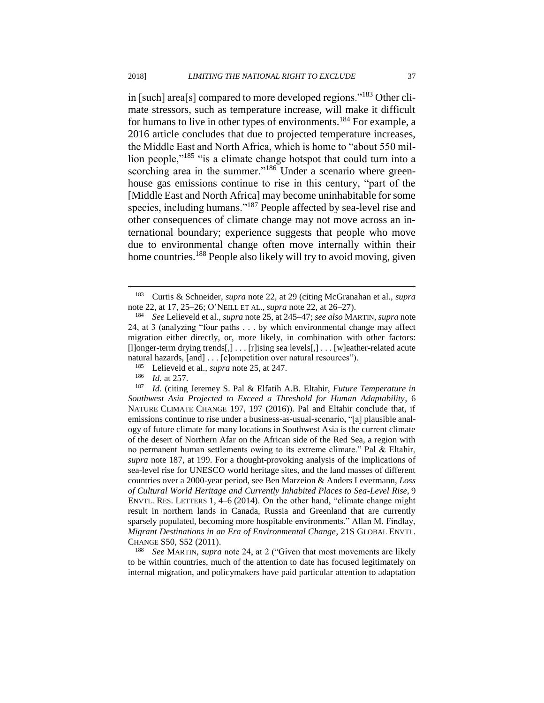in [such] area[s] compared to more developed regions."<sup>183</sup> Other climate stressors, such as temperature increase, will make it difficult for humans to live in other types of environments.<sup>184</sup> For example, a 2016 article concludes that due to projected temperature increases, the Middle East and North Africa, which is home to "about 550 million people,"<sup>185</sup> "is a climate change hotspot that could turn into a scorching area in the summer."<sup>186</sup> Under a scenario where greenhouse gas emissions continue to rise in this century, "part of the [Middle East and North Africa] may become uninhabitable for some species, including humans."<sup>187</sup> People affected by sea-level rise and other consequences of climate change may not move across an international boundary; experience suggests that people who move due to environmental change often move internally within their home countries.<sup>188</sup> People also likely will try to avoid moving, given

 $\overline{a}$ 

<sup>188</sup> *See* MARTIN, *supra* note 24, at 2 ("Given that most movements are likely to be within countries, much of the attention to date has focused legitimately on internal migration, and policymakers have paid particular attention to adaptation

<sup>183</sup> Curtis & Schneider, *supra* note 22, at 29 (citing McGranahan et al., *supra* note 22, at 17, 25–26; O'NEILL ET AL., *supra* note 22, at 26–27).

<sup>184</sup> *See* Lelieveld et al., *supra* note 25, at 245–47; *see also* MARTIN, *supra* note 24, at 3 (analyzing "four paths . . . by which environmental change may affect migration either directly, or, more likely, in combination with other factors: [l]onger-term drying trends[,] . . . [r]ising sea levels[,] . . . [w]eather-related acute natural hazards, [and] . . . [c]ompetition over natural resources").

<sup>185</sup> Lelieveld et al., *supra* note 25, at 247.

 $\frac{186}{187}$  *Id.* at 257.

*Id.* (citing Jeremey S. Pal & Elfatih A.B. Eltahir, *Future Temperature in Southwest Asia Projected to Exceed a Threshold for Human Adaptability*, 6 NATURE CLIMATE CHANGE 197, 197 (2016)). Pal and Eltahir conclude that, if emissions continue to rise under a business-as-usual-scenario, "[a] plausible analogy of future climate for many locations in Southwest Asia is the current climate of the desert of Northern Afar on the African side of the Red Sea, a region with no permanent human settlements owing to its extreme climate." Pal & Eltahir, *supra* note 187, at 199. For a thought-provoking analysis of the implications of sea-level rise for UNESCO world heritage sites, and the land masses of different countries over a 2000-year period, see Ben Marzeion & Anders Levermann, *Loss of Cultural World Heritage and Currently Inhabited Places to Sea-Level Rise*, 9 ENVTL. RES. LETTERS 1, 4–6 (2014). On the other hand, "climate change might result in northern lands in Canada, Russia and Greenland that are currently sparsely populated, becoming more hospitable environments." Allan M. Findlay, *Migrant Destinations in an Era of Environmental Change*, 21S GLOBAL ENVTL. CHANGE S50, S52 (2011).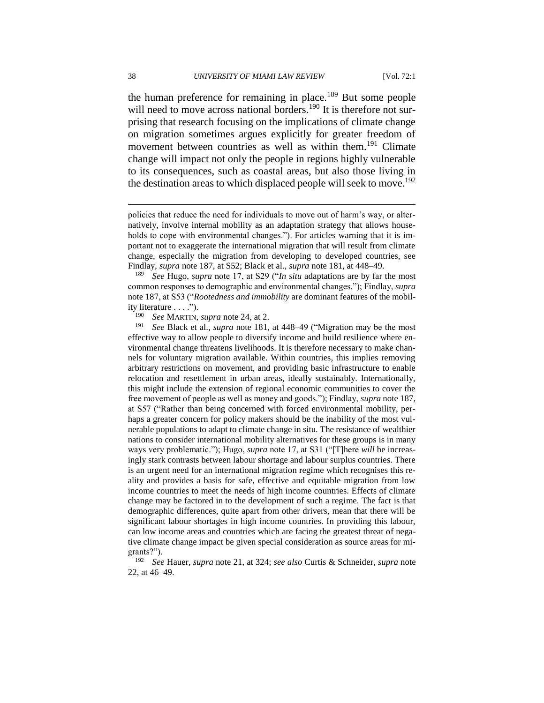the human preference for remaining in place.<sup>189</sup> But some people will need to move across national borders.<sup>190</sup> It is therefore not surprising that research focusing on the implications of climate change on migration sometimes argues explicitly for greater freedom of movement between countries as well as within them.<sup>191</sup> Climate change will impact not only the people in regions highly vulnerable to its consequences, such as coastal areas, but also those living in the destination areas to which displaced people will seek to move.<sup>192</sup>

<sup>189</sup> *See* Hugo, *supra* note 17, at S29 ("*In situ* adaptations are by far the most common responses to demographic and environmental changes."); Findlay, *supra* note 187, at S53 ("*Rootedness and immobility* are dominant features of the mobility literature . . . .").

<sup>190</sup> *See* MARTIN, *supra* note 24, at 2.<br><sup>191</sup> *See* Black et al. *supra* note 181

See Black et al., *supra* note 181, at 448–49 ("Migration may be the most effective way to allow people to diversify income and build resilience where environmental change threatens livelihoods. It is therefore necessary to make channels for voluntary migration available. Within countries, this implies removing arbitrary restrictions on movement, and providing basic infrastructure to enable relocation and resettlement in urban areas, ideally sustainably. Internationally, this might include the extension of regional economic communities to cover the free movement of people as well as money and goods."); Findlay, *supra* note 187, at S57 ("Rather than being concerned with forced environmental mobility, perhaps a greater concern for policy makers should be the inability of the most vulnerable populations to adapt to climate change in situ. The resistance of wealthier nations to consider international mobility alternatives for these groups is in many ways very problematic."); Hugo, *supra* note 17, at S31 ("[T]here *will* be increasingly stark contrasts between labour shortage and labour surplus countries. There is an urgent need for an international migration regime which recognises this reality and provides a basis for safe, effective and equitable migration from low income countries to meet the needs of high income countries. Effects of climate change may be factored in to the development of such a regime. The fact is that demographic differences, quite apart from other drivers, mean that there will be significant labour shortages in high income countries. In providing this labour, can low income areas and countries which are facing the greatest threat of negative climate change impact be given special consideration as source areas for migrants?").

<sup>192</sup> *See* Hauer, *supra* note 21, at 324; *see also* Curtis & Schneider, *supra* note 22, at 46–49.

policies that reduce the need for individuals to move out of harm's way, or alternatively, involve internal mobility as an adaptation strategy that allows households to cope with environmental changes."). For articles warning that it is important not to exaggerate the international migration that will result from climate change, especially the migration from developing to developed countries, see Findlay, *supra* note 187, at S52; Black et al., *supra* note 181, at 448–49.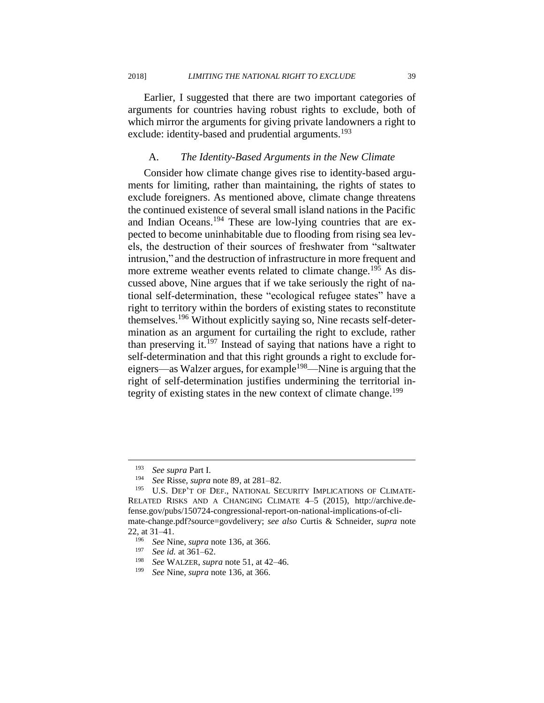Earlier, I suggested that there are two important categories of arguments for countries having robust rights to exclude, both of which mirror the arguments for giving private landowners a right to exclude: identity-based and prudential arguments.<sup>193</sup>

#### A. *The Identity-Based Arguments in the New Climate*

Consider how climate change gives rise to identity-based arguments for limiting, rather than maintaining, the rights of states to exclude foreigners. As mentioned above, climate change threatens the continued existence of several small island nations in the Pacific and Indian Oceans.<sup>194</sup> These are low-lying countries that are expected to become uninhabitable due to flooding from rising sea levels, the destruction of their sources of freshwater from "saltwater intrusion," and the destruction of infrastructure in more frequent and more extreme weather events related to climate change.<sup>195</sup> As discussed above, Nine argues that if we take seriously the right of national self-determination, these "ecological refugee states" have a right to territory within the borders of existing states to reconstitute themselves.<sup>196</sup> Without explicitly saying so, Nine recasts self-determination as an argument for curtailing the right to exclude, rather than preserving it.<sup>197</sup> Instead of saying that nations have a right to self-determination and that this right grounds a right to exclude foreigners—as Walzer argues, for example<sup>198</sup>—Nine is arguing that the right of self-determination justifies undermining the territorial integrity of existing states in the new context of climate change.<sup>199</sup>

<sup>193</sup> *See supra* Part I.

<sup>194</sup> *See* Risse, *supra* note 89, at 281–82.

<sup>&</sup>lt;sup>195</sup> U.S. DEP'T OF DEF., NATIONAL SECURITY IMPLICATIONS OF CLIMATE-RELATED RISKS AND A CHANGING CLIMATE 4–5 (2015), http://archive.defense.gov/pubs/150724-congressional-report-on-national-implications-of-climate-change.pdf?source=govdelivery; *see also* Curtis & Schneider, *supra* note 22, at  $31-41$ .

<sup>196</sup> *See* Nine, *supra* note 136, at 366.

<sup>197</sup> *See id.* at 361–62.

<sup>198</sup> *See* WALZER, *supra* note 51, at 42–46.

<sup>199</sup> *See* Nine, *supra* note 136, at 366.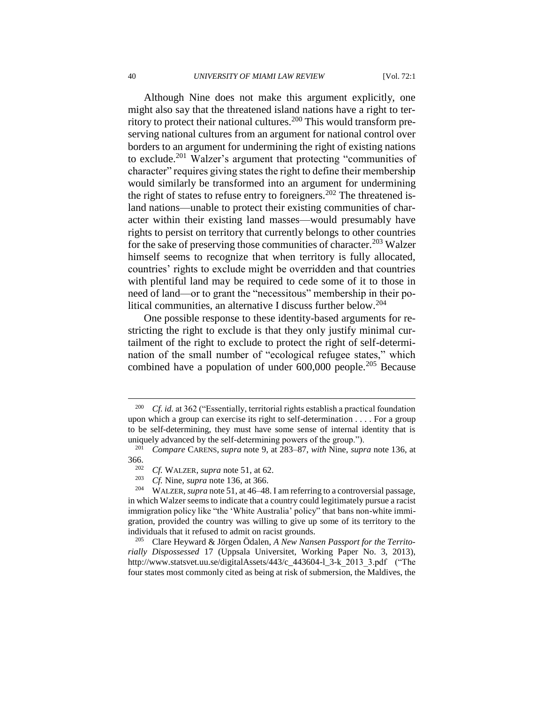Although Nine does not make this argument explicitly, one might also say that the threatened island nations have a right to territory to protect their national cultures.<sup>200</sup> This would transform preserving national cultures from an argument for national control over borders to an argument for undermining the right of existing nations to exclude.<sup>201</sup> Walzer's argument that protecting "communities of character" requires giving states the right to define their membership would similarly be transformed into an argument for undermining the right of states to refuse entry to foreigners.<sup>202</sup> The threatened island nations—unable to protect their existing communities of character within their existing land masses—would presumably have rights to persist on territory that currently belongs to other countries for the sake of preserving those communities of character.<sup>203</sup> Walzer himself seems to recognize that when territory is fully allocated, countries' rights to exclude might be overridden and that countries with plentiful land may be required to cede some of it to those in need of land—or to grant the "necessitous" membership in their political communities, an alternative I discuss further below.<sup>204</sup>

One possible response to these identity-based arguments for restricting the right to exclude is that they only justify minimal curtailment of the right to exclude to protect the right of self-determination of the small number of "ecological refugee states," which combined have a population of under 600,000 people.<sup>205</sup> Because

<sup>200</sup> *Cf. id.* at 362 ("Essentially, territorial rights establish a practical foundation upon which a group can exercise its right to self-determination . . . . For a group to be self-determining, they must have some sense of internal identity that is uniquely advanced by the self-determining powers of the group.").

<sup>201</sup> *Compare* CARENS, *supra* note 9, at 283–87, *with* Nine, *supra* note 136, at 366.<br>202

<sup>202</sup> *Cf.* WALZER, *supra* note 51, at 62.

*Cf.* Nine, *supra* note 136, at 366.

<sup>204</sup> WALZER, *supra* note 51, at 46–48. I am referring to a controversial passage, in which Walzer seems to indicate that a country could legitimately pursue a racist immigration policy like "the 'White Australia' policy" that bans non-white immigration, provided the country was willing to give up some of its territory to the individuals that it refused to admit on racist grounds.

Clare Heyward & Jörgen Ödalen, *A New Nansen Passport for the Territorially Dispossessed* 17 (Uppsala Universitet, Working Paper No. 3, 2013), http://www.statsvet.uu.se/digitalAssets/443/c\_443604-l\_3-k\_2013\_3.pdf ("The four states most commonly cited as being at risk of submersion, the Maldives, the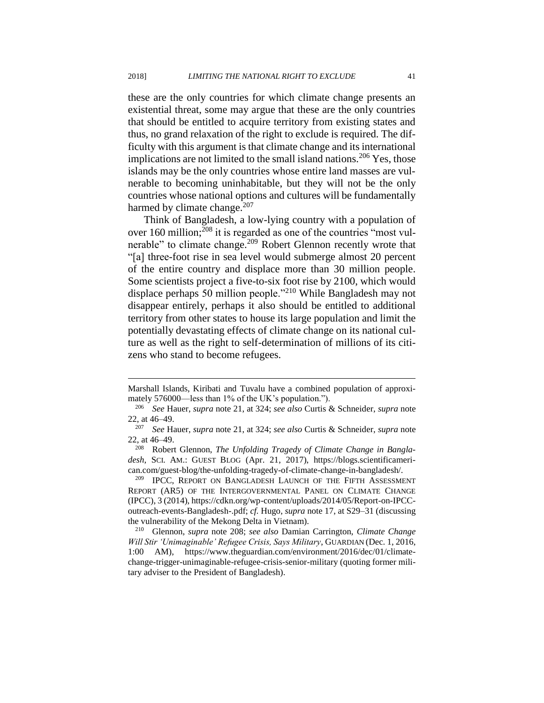these are the only countries for which climate change presents an existential threat, some may argue that these are the only countries that should be entitled to acquire territory from existing states and thus, no grand relaxation of the right to exclude is required. The difficulty with this argument is that climate change and its international implications are not limited to the small island nations.<sup>206</sup> Yes, those islands may be the only countries whose entire land masses are vulnerable to becoming uninhabitable, but they will not be the only countries whose national options and cultures will be fundamentally harmed by climate change.<sup>207</sup>

Think of Bangladesh, a low-lying country with a population of over 160 million;<sup>208</sup> it is regarded as one of the countries "most vulnerable" to climate change.<sup>209</sup> Robert Glennon recently wrote that "[a] three-foot rise in sea level would submerge almost 20 percent of the entire country and displace more than 30 million people. Some scientists project a five-to-six foot rise by 2100, which would displace perhaps 50 million people."<sup>210</sup> While Bangladesh may not disappear entirely, perhaps it also should be entitled to additional territory from other states to house its large population and limit the potentially devastating effects of climate change on its national culture as well as the right to self-determination of millions of its citizens who stand to become refugees.

Marshall Islands, Kiribati and Tuvalu have a combined population of approximately 576000—less than 1% of the UK's population.").

<sup>206</sup> *See* Hauer, *supra* note 21, at 324; *see also* Curtis & Schneider, *supra* note 22, at 46–49.

<sup>207</sup> *See* Hauer, *supra* note 21, at 324; *see also* Curtis & Schneider, *supra* note 22, at  $46-49$ .<br><sup>208</sup> Pobor

Robert Glennon, *The Unfolding Tragedy of Climate Change in Bangladesh*, SCI. AM.: GUEST BLOG (Apr. 21, 2017), https://blogs.scientificamerican.com/guest-blog/the-unfolding-tragedy-of-climate-change-in-bangladesh/.

IPCC, REPORT ON BANGLADESH LAUNCH OF THE FIFTH ASSESSMENT REPORT (AR5) OF THE INTERGOVERNMENTAL PANEL ON CLIMATE CHANGE (IPCC), 3 (2014), https://cdkn.org/wp-content/uploads/2014/05/Report-on-IPCCoutreach-events-Bangladesh-.pdf; *cf.* Hugo, *supra* note 17, at S29–31 (discussing the vulnerability of the Mekong Delta in Vietnam).

<sup>210</sup> Glennon, *supra* note 208; *see also* Damian Carrington, *Climate Change Will Stir 'Unimaginable' Refugee Crisis, Says Military*, GUARDIAN (Dec. 1, 2016, 1:00 AM), https://www.theguardian.com/environment/2016/dec/01/climatechange-trigger-unimaginable-refugee-crisis-senior-military (quoting former military adviser to the President of Bangladesh).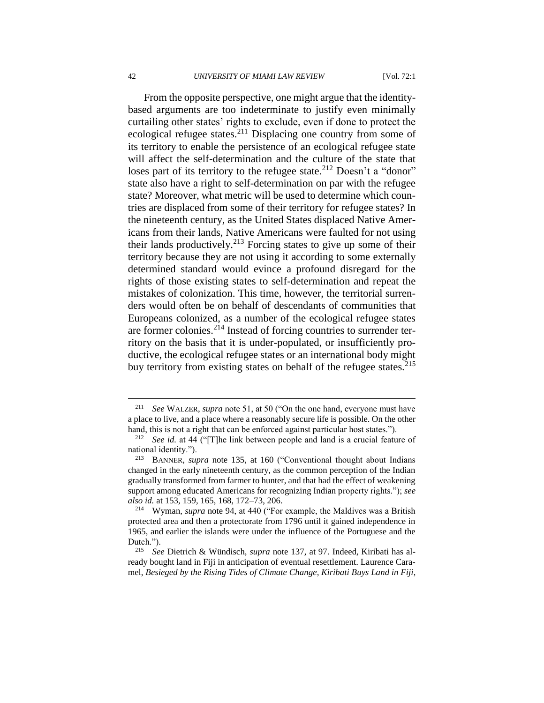From the opposite perspective, one might argue that the identitybased arguments are too indeterminate to justify even minimally curtailing other states' rights to exclude, even if done to protect the ecological refugee states.<sup>211</sup> Displacing one country from some of its territory to enable the persistence of an ecological refugee state will affect the self-determination and the culture of the state that loses part of its territory to the refugee state.<sup>212</sup> Doesn't a "donor" state also have a right to self-determination on par with the refugee state? Moreover, what metric will be used to determine which countries are displaced from some of their territory for refugee states? In the nineteenth century, as the United States displaced Native Americans from their lands, Native Americans were faulted for not using their lands productively.<sup>213</sup> Forcing states to give up some of their territory because they are not using it according to some externally determined standard would evince a profound disregard for the rights of those existing states to self-determination and repeat the mistakes of colonization. This time, however, the territorial surrenders would often be on behalf of descendants of communities that Europeans colonized, as a number of the ecological refugee states are former colonies.<sup>214</sup> Instead of forcing countries to surrender territory on the basis that it is under-populated, or insufficiently productive, the ecological refugee states or an international body might buy territory from existing states on behalf of the refugee states.<sup>215</sup>

<sup>211</sup> *See* WALZER, *supra* note 51, at 50 ("On the one hand, everyone must have a place to live, and a place where a reasonably secure life is possible. On the other hand, this is not a right that can be enforced against particular host states.").

<sup>212</sup> *See id.* at 44 ("[T]he link between people and land is a crucial feature of national identity.").

<sup>213</sup> BANNER, *supra* note 135, at 160 ("Conventional thought about Indians changed in the early nineteenth century, as the common perception of the Indian gradually transformed from farmer to hunter, and that had the effect of weakening support among educated Americans for recognizing Indian property rights."); *see also id.* at 153, 159, 165, 168, 172–73, 206.

<sup>214</sup> Wyman, *supra* note 94, at 440 ("For example, the Maldives was a British protected area and then a protectorate from 1796 until it gained independence in 1965, and earlier the islands were under the influence of the Portuguese and the Dutch.").

<sup>215</sup> *See* Dietrich & Wündisch, *supra* note 137, at 97. Indeed, Kiribati has already bought land in Fiji in anticipation of eventual resettlement. Laurence Caramel, *Besieged by the Rising Tides of Climate Change, Kiribati Buys Land in Fiji*,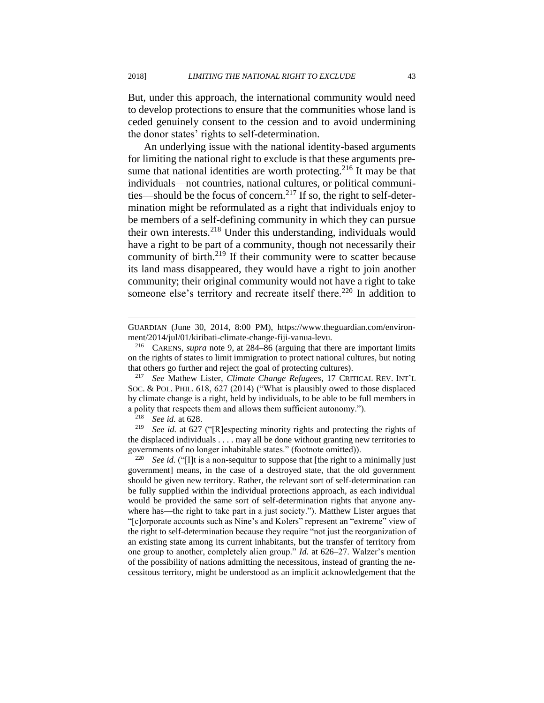But, under this approach, the international community would need to develop protections to ensure that the communities whose land is ceded genuinely consent to the cession and to avoid undermining the donor states' rights to self-determination.

An underlying issue with the national identity-based arguments for limiting the national right to exclude is that these arguments presume that national identities are worth protecting.<sup>216</sup> It may be that individuals—not countries, national cultures, or political communities—should be the focus of concern.<sup>217</sup> If so, the right to self-determination might be reformulated as a right that individuals enjoy to be members of a self-defining community in which they can pursue their own interests.<sup>218</sup> Under this understanding, individuals would have a right to be part of a community, though not necessarily their community of birth. $2^{19}$  If their community were to scatter because its land mass disappeared, they would have a right to join another community; their original community would not have a right to take someone else's territory and recreate itself there.<sup>220</sup> In addition to

GUARDIAN (June 30, 2014, 8:00 PM), https://www.theguardian.com/environment/2014/jul/01/kiribati-climate-change-fiji-vanua-levu.

<sup>216</sup> CARENS, *supra* note 9, at 284–86 (arguing that there are important limits on the rights of states to limit immigration to protect national cultures, but noting that others go further and reject the goal of protecting cultures).

<sup>217</sup> *See* Mathew Lister, *Climate Change Refugees*, 17 CRITICAL REV. INT'L SOC. & POL. PHIL. 618, 627 (2014) ("What is plausibly owed to those displaced by climate change is a right, held by individuals, to be able to be full members in a polity that respects them and allows them sufficient autonomy.").

See id. at 628.

<sup>&</sup>lt;sup>219</sup> *See id.* at 627 ("[R]especting minority rights and protecting the rights of the displaced individuals . . . . may all be done without granting new territories to governments of no longer inhabitable states." (footnote omitted)).

<sup>&</sup>lt;sup>220</sup> *See id.* ("[I]t is a non-sequitur to suppose that [the right to a minimally just government] means, in the case of a destroyed state, that the old government should be given new territory. Rather, the relevant sort of self-determination can be fully supplied within the individual protections approach, as each individual would be provided the same sort of self-determination rights that anyone anywhere has—the right to take part in a just society."). Matthew Lister argues that "[c]orporate accounts such as Nine's and Kolers" represent an "extreme" view of the right to self-determination because they require "not just the reorganization of an existing state among its current inhabitants, but the transfer of territory from one group to another, completely alien group." *Id.* at 626–27. Walzer's mention of the possibility of nations admitting the necessitous, instead of granting the necessitous territory, might be understood as an implicit acknowledgement that the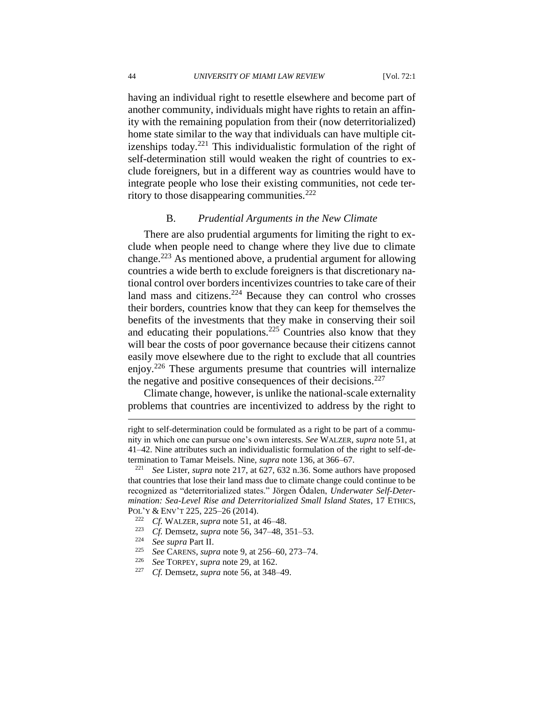having an individual right to resettle elsewhere and become part of another community, individuals might have rights to retain an affinity with the remaining population from their (now deterritorialized) home state similar to the way that individuals can have multiple citizenships today.<sup>221</sup> This individualistic formulation of the right of self-determination still would weaken the right of countries to exclude foreigners, but in a different way as countries would have to integrate people who lose their existing communities, not cede territory to those disappearing communities. $^{222}$ 

#### B. *Prudential Arguments in the New Climate*

There are also prudential arguments for limiting the right to exclude when people need to change where they live due to climate change.<sup>223</sup> As mentioned above, a prudential argument for allowing countries a wide berth to exclude foreigners is that discretionary national control over borders incentivizes countries to take care of their land mass and citizens.<sup>224</sup> Because they can control who crosses their borders, countries know that they can keep for themselves the benefits of the investments that they make in conserving their soil and educating their populations.<sup>225</sup> Countries also know that they will bear the costs of poor governance because their citizens cannot easily move elsewhere due to the right to exclude that all countries enjoy.<sup>226</sup> These arguments presume that countries will internalize the negative and positive consequences of their decisions.<sup>227</sup>

Climate change, however, is unlike the national-scale externality problems that countries are incentivized to address by the right to

- <sup>223</sup> *Cf.* Demsetz, *supra* note 56, 347–48, 351–53.
- <sup>224</sup> *See supra* Part II.

- <sup>225</sup> *See* CARENS, *supra* note 9, at 256–60, 273–74.
- <sup>226</sup> *See* TORPEY, *supra* note 29, at 162.
- *Cf.* Demsetz, *supra* note 56, at 348–49.

right to self-determination could be formulated as a right to be part of a community in which one can pursue one's own interests. *See* WALZER, *supra* note 51, at 41–42. Nine attributes such an individualistic formulation of the right to self-determination to Tamar Meisels. Nine, *supra* note 136, at 366–67.

<sup>221</sup> *See* Lister, *supra* note 217, at 627, 632 n.36. Some authors have proposed that countries that lose their land mass due to climate change could continue to be recognized as "deterritorialized states." Jörgen Ödalen, *Underwater Self-Determination: Sea-Level Rise and Deterritorialized Small Island States*, 17 ETHICS, POL'Y & ENV'T 225, 225–26 (2014).

<sup>222</sup> *Cf.* WALZER, *supra* note 51, at 46–48.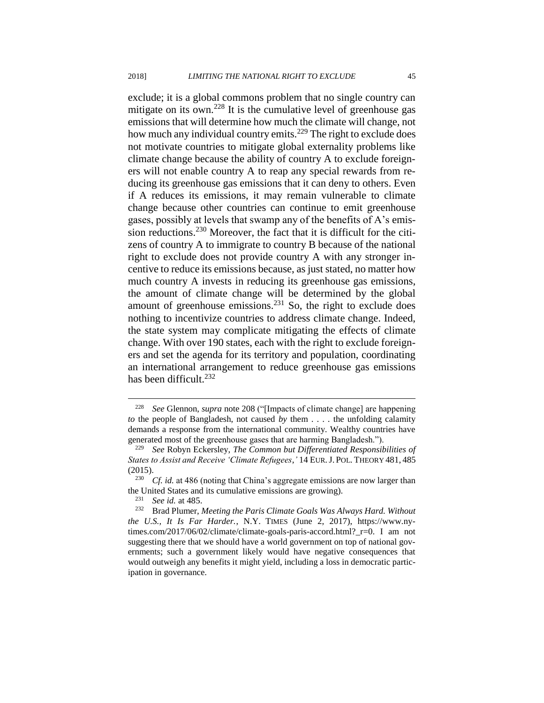exclude; it is a global commons problem that no single country can mitigate on its own.<sup>228</sup> It is the cumulative level of greenhouse gas emissions that will determine how much the climate will change, not how much any individual country emits.<sup>229</sup> The right to exclude does not motivate countries to mitigate global externality problems like climate change because the ability of country A to exclude foreigners will not enable country A to reap any special rewards from reducing its greenhouse gas emissions that it can deny to others. Even if A reduces its emissions, it may remain vulnerable to climate change because other countries can continue to emit greenhouse gases, possibly at levels that swamp any of the benefits of A's emission reductions.<sup>230</sup> Moreover, the fact that it is difficult for the citizens of country A to immigrate to country B because of the national right to exclude does not provide country A with any stronger incentive to reduce its emissions because, as just stated, no matter how much country A invests in reducing its greenhouse gas emissions, the amount of climate change will be determined by the global amount of greenhouse emissions. $231$  So, the right to exclude does nothing to incentivize countries to address climate change. Indeed, the state system may complicate mitigating the effects of climate change. With over 190 states, each with the right to exclude foreigners and set the agenda for its territory and population, coordinating an international arrangement to reduce greenhouse gas emissions has been difficult. $232$ 

<sup>228</sup> *See* Glennon, *supra* note 208 ("[Impacts of climate change] are happening *to* the people of Bangladesh, not caused *by* them . . . . the unfolding calamity demands a response from the international community. Wealthy countries have generated most of the greenhouse gases that are harming Bangladesh.").

<sup>229</sup> *See* Robyn Eckersley, *The Common but Differentiated Responsibilities of States to Assist and Receive 'Climate Refugees*,*'* 14 EUR.J. POL. THEORY 481, 485 (2015).

*Cf. id.* at 486 (noting that China's aggregate emissions are now larger than the United States and its cumulative emissions are growing).<br> $231 \text{ }$  See id, at 485

See id. at 485.

<sup>232</sup> Brad Plumer, *Meeting the Paris Climate Goals Was Always Hard. Without the U.S., It Is Far Harder.*, N.Y. TIMES (June 2, 2017), https://www.nytimes.com/2017/06/02/climate/climate-goals-paris-accord.html?\_r=0. I am not suggesting there that we should have a world government on top of national governments; such a government likely would have negative consequences that would outweigh any benefits it might yield, including a loss in democratic participation in governance.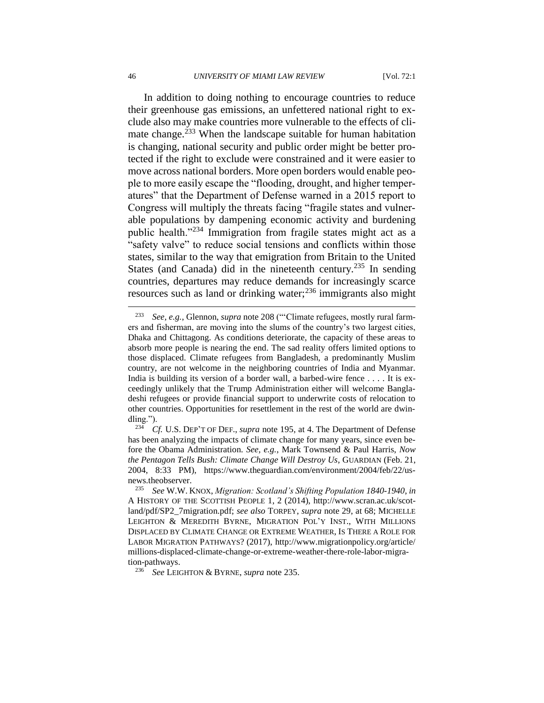In addition to doing nothing to encourage countries to reduce their greenhouse gas emissions, an unfettered national right to exclude also may make countries more vulnerable to the effects of climate change.<sup>233</sup> When the landscape suitable for human habitation is changing, national security and public order might be better protected if the right to exclude were constrained and it were easier to move across national borders. More open borders would enable people to more easily escape the "flooding, drought, and higher temperatures" that the Department of Defense warned in a 2015 report to Congress will multiply the threats facing "fragile states and vulnerable populations by dampening economic activity and burdening public health."<sup>234</sup> Immigration from fragile states might act as a "safety valve" to reduce social tensions and conflicts within those states, similar to the way that emigration from Britain to the United States (and Canada) did in the nineteenth century.<sup>235</sup> In sending countries, departures may reduce demands for increasingly scarce resources such as land or drinking water; $^{236}$  immigrants also might

<sup>233</sup> *See, e.g.*, Glennon, *supra* note 208 ("'Climate refugees, mostly rural farmers and fisherman, are moving into the slums of the country's two largest cities, Dhaka and Chittagong. As conditions deteriorate, the capacity of these areas to absorb more people is nearing the end. The sad reality offers limited options to those displaced. Climate refugees from Bangladesh, a predominantly Muslim country, are not welcome in the neighboring countries of India and Myanmar. India is building its version of a border wall, a barbed-wire fence . . . . It is exceedingly unlikely that the Trump Administration either will welcome Bangladeshi refugees or provide financial support to underwrite costs of relocation to other countries. Opportunities for resettlement in the rest of the world are dwindling.").

<sup>234</sup> *Cf.* U.S. DEP'T OF DEF., *supra* note 195, at 4. The Department of Defense has been analyzing the impacts of climate change for many years, since even before the Obama Administration. *See, e.g.*, Mark Townsend & Paul Harris, *Now the Pentagon Tells Bush: Climate Change Will Destroy Us*, GUARDIAN (Feb. 21, 2004, 8:33 PM), https://www.theguardian.com/environment/2004/feb/22/usnews.theobserver.

<sup>235</sup> *See* W.W. KNOX, *Migration: Scotland's Shifting Population 1840-1940*, *in* A HISTORY OF THE SCOTTISH PEOPLE 1, 2 (2014), http://www.scran.ac.uk/scotland/pdf/SP2\_7migration.pdf; *see also* TORPEY, *supra* note 29, at 68; MICHELLE LEIGHTON & MEREDITH BYRNE, MIGRATION POL'Y INST., WITH MILLIONS DISPLACED BY CLIMATE CHANGE OR EXTREME WEATHER, IS THERE A ROLE FOR LABOR MIGRATION PATHWAYS? (2017), http://www.migrationpolicy.org/article/ millions-displaced-climate-change-or-extreme-weather-there-role-labor-migration-pathways.

<sup>236</sup> *See* LEIGHTON & BYRNE, *supra* note 235.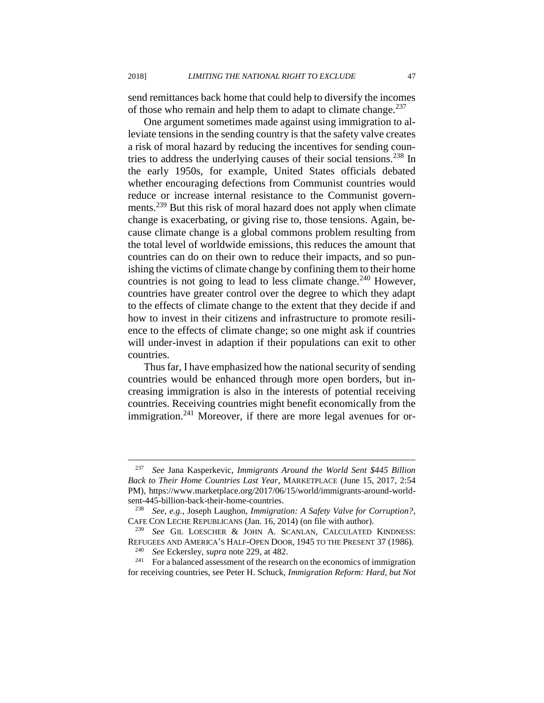send remittances back home that could help to diversify the incomes of those who remain and help them to adapt to climate change.<sup>237</sup>

One argument sometimes made against using immigration to alleviate tensions in the sending country is that the safety valve creates a risk of moral hazard by reducing the incentives for sending countries to address the underlying causes of their social tensions.<sup>238</sup> In the early 1950s, for example, United States officials debated whether encouraging defections from Communist countries would reduce or increase internal resistance to the Communist governments.<sup>239</sup> But this risk of moral hazard does not apply when climate change is exacerbating, or giving rise to, those tensions. Again, because climate change is a global commons problem resulting from the total level of worldwide emissions, this reduces the amount that countries can do on their own to reduce their impacts, and so punishing the victims of climate change by confining them to their home countries is not going to lead to less climate change.<sup>240</sup> However, countries have greater control over the degree to which they adapt to the effects of climate change to the extent that they decide if and how to invest in their citizens and infrastructure to promote resilience to the effects of climate change; so one might ask if countries will under-invest in adaption if their populations can exit to other countries.

Thus far, I have emphasized how the national security of sending countries would be enhanced through more open borders, but increasing immigration is also in the interests of potential receiving countries. Receiving countries might benefit economically from the immigration.<sup>241</sup> Moreover, if there are more legal avenues for or-

<sup>237</sup> *See* Jana Kasperkevic, *Immigrants Around the World Sent \$445 Billion Back to Their Home Countries Last Year*, MARKETPLACE (June 15, 2017, 2:54 PM), https://www.marketplace.org/2017/06/15/world/immigrants-around-worldsent-445-billion-back-their-home-countries.<br> $\frac{238}{500}$  See e o Iosenh Laughon. Immigration

<sup>238</sup> *See, e.g.*, Joseph Laughon, *Immigration: A Safety Valve for Corruption?*, CAFE CON LECHE REPUBLICANS (Jan. 16, 2014) (on file with author).

See GIL LOESCHER & JOHN A. SCANLAN, CALCULATED KINDNESS: REFUGEES AND AMERICA'S HALF-OPEN DOOR, 1945 TO THE PRESENT 37 (1986). <sup>240</sup> *See* Eckersley, *supra* note 229, at 482.

<sup>241</sup> For a balanced assessment of the research on the economics of immigration for receiving countries, see Peter H. Schuck, *Immigration Reform: Hard, but Not*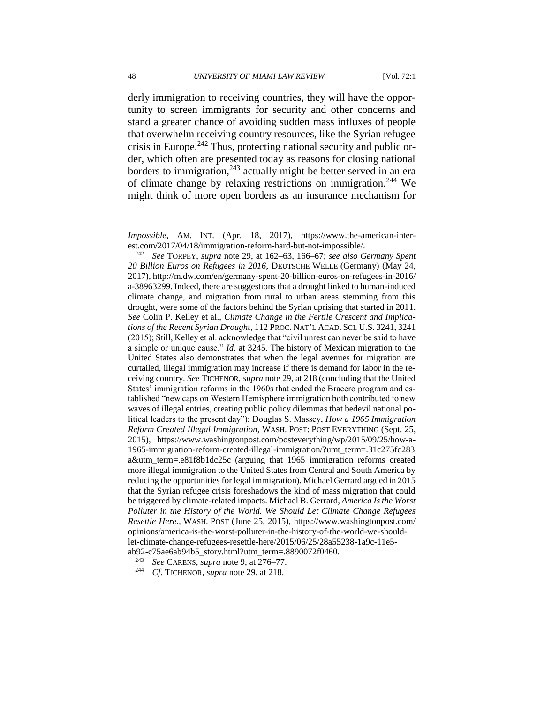derly immigration to receiving countries, they will have the opportunity to screen immigrants for security and other concerns and stand a greater chance of avoiding sudden mass influxes of people that overwhelm receiving country resources, like the Syrian refugee crisis in Europe. $242$  Thus, protecting national security and public order, which often are presented today as reasons for closing national borders to immigration, $243$  actually might be better served in an era of climate change by relaxing restrictions on immigration.<sup>244</sup> We might think of more open borders as an insurance mechanism for

<sup>243</sup> *See* CARENS, *supra* note 9, at 276–77.

<sup>244</sup> *Cf.* TICHENOR, *supra* note 29, at 218.

*Impossible*, AM. INT. (Apr. 18, 2017), https://www.the-american-interest.com/2017/04/18/immigration-reform-hard-but-not-impossible/.

<sup>242</sup> *See* TORPEY, *supra* note 29, at 162–63, 166–67; *see also Germany Spent 20 Billion Euros on Refugees in 2016*, DEUTSCHE WELLE (Germany) (May 24, 2017), http://m.dw.com/en/germany-spent-20-billion-euros-on-refugees-in-2016/ a-38963299. Indeed, there are suggestions that a drought linked to human-induced climate change, and migration from rural to urban areas stemming from this drought, were some of the factors behind the Syrian uprising that started in 2011. *See* Colin P. Kelley et al., *Climate Change in the Fertile Crescent and Implications of the Recent Syrian Drought*, 112 PROC. NAT'L ACAD. SCI. U.S. 3241, 3241 (2015); Still, Kelley et al. acknowledge that "civil unrest can never be said to have a simple or unique cause." *Id.* at 3245. The history of Mexican migration to the United States also demonstrates that when the legal avenues for migration are curtailed, illegal immigration may increase if there is demand for labor in the receiving country. *See* TICHENOR, *supra* note 29, at 218 (concluding that the United States' immigration reforms in the 1960s that ended the Bracero program and established "new caps on Western Hemisphere immigration both contributed to new waves of illegal entries, creating public policy dilemmas that bedevil national political leaders to the present day"); Douglas S. Massey, *How a 1965 Immigration Reform Created Illegal Immigration*, WASH. POST: POST EVERYTHING (Sept. 25, 2015), https://www.washingtonpost.com/posteverything/wp/2015/09/25/how-a-1965-immigration-reform-created-illegal-immigration/?umt\_term=.31c275fc283 a&utm\_term=.e81f8b1dc25c (arguing that 1965 immigration reforms created more illegal immigration to the United States from Central and South America by reducing the opportunities for legal immigration). Michael Gerrard argued in 2015 that the Syrian refugee crisis foreshadows the kind of mass migration that could be triggered by climate-related impacts. Michael B. Gerrard, *America Is the Worst Polluter in the History of the World. We Should Let Climate Change Refugees Resettle Here.*, WASH. POST (June 25, 2015), https://www.washingtonpost.com/ opinions/america-is-the-worst-polluter-in-the-history-of-the-world-we-shouldlet-climate-change-refugees-resettle-here/2015/06/25/28a55238-1a9c-11e5 ab92-c75ae6ab94b5\_story.html?utm\_term=.8890072f0460.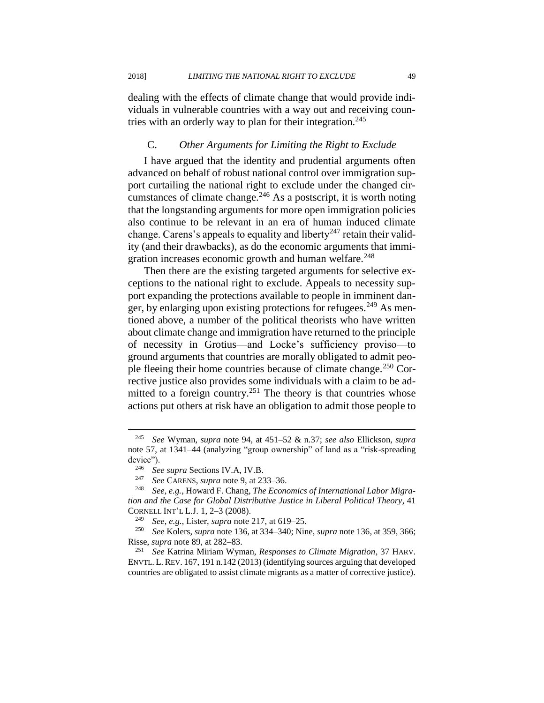dealing with the effects of climate change that would provide individuals in vulnerable countries with a way out and receiving countries with an orderly way to plan for their integration.<sup>245</sup>

#### C. *Other Arguments for Limiting the Right to Exclude*

I have argued that the identity and prudential arguments often advanced on behalf of robust national control over immigration support curtailing the national right to exclude under the changed circumstances of climate change.<sup>246</sup> As a postscript, it is worth noting that the longstanding arguments for more open immigration policies also continue to be relevant in an era of human induced climate change. Carens's appeals to equality and liberty<sup>247</sup> retain their validity (and their drawbacks), as do the economic arguments that immigration increases economic growth and human welfare.<sup>248</sup>

Then there are the existing targeted arguments for selective exceptions to the national right to exclude. Appeals to necessity support expanding the protections available to people in imminent danger, by enlarging upon existing protections for refugees.<sup>249</sup> As mentioned above, a number of the political theorists who have written about climate change and immigration have returned to the principle of necessity in Grotius—and Locke's sufficiency proviso—to ground arguments that countries are morally obligated to admit people fleeing their home countries because of climate change.<sup>250</sup> Corrective justice also provides some individuals with a claim to be admitted to a foreign country.<sup>251</sup> The theory is that countries whose actions put others at risk have an obligation to admit those people to

 $\overline{a}$ 

<sup>251</sup> *See* Katrina Miriam Wyman, *Responses to Climate Migration*, 37 HARV. ENVTL. L. REV. 167, 191 n.142 (2013) (identifying sources arguing that developed countries are obligated to assist climate migrants as a matter of corrective justice).

<sup>245</sup> *See* Wyman, *supra* note 94, at 451–52 & n.37; *see also* Ellickson, *supra*  note 57, at 1341–44 (analyzing "group ownership" of land as a "risk-spreading device").<br> $\frac{246}{36}$  Se

<sup>246</sup> *See supra* Sections IV.A, IV.B.

<sup>247</sup> *See* CARENS, *supra* note 9, at 233–36.

<sup>248</sup> *See, e.g.*, Howard F. Chang, *The Economics of International Labor Migration and the Case for Global Distributive Justice in Liberal Political Theory*, 41 CORNELL INT'L L.J. 1, 2–3 (2008).

<sup>249</sup> *See, e.g.*, Lister, *supra* note 217, at 619–25.

<sup>250</sup> *See* Kolers, *supra* note 136, at 334–340; Nine, *supra* note 136, at 359, 366; Risse, *supra* note 89, at 282–83.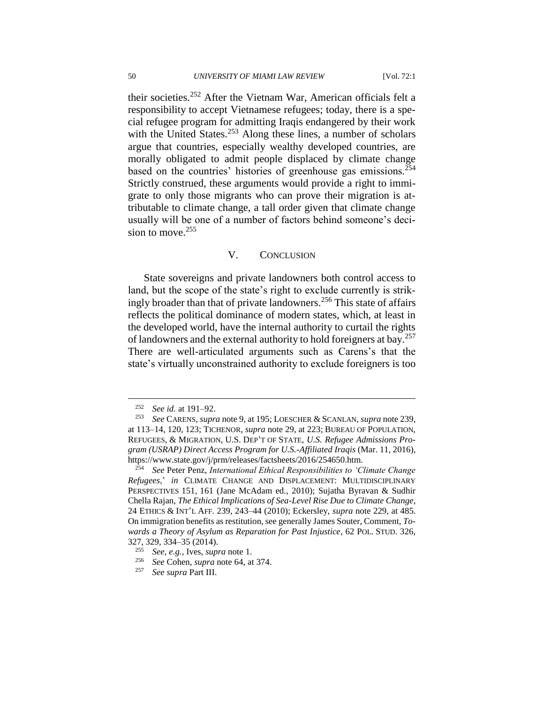their societies.<sup>252</sup> After the Vietnam War, American officials felt a responsibility to accept Vietnamese refugees; today, there is a special refugee program for admitting Iraqis endangered by their work with the United States.<sup>253</sup> Along these lines, a number of scholars argue that countries, especially wealthy developed countries, are morally obligated to admit people displaced by climate change based on the countries' histories of greenhouse gas emissions.<sup>254</sup> Strictly construed, these arguments would provide a right to immigrate to only those migrants who can prove their migration is attributable to climate change, a tall order given that climate change usually will be one of a number of factors behind someone's decision to move. $255$ 

#### V. CONCLUSION

State sovereigns and private landowners both control access to land, but the scope of the state's right to exclude currently is strikingly broader than that of private landowners.<sup>256</sup> This state of affairs reflects the political dominance of modern states, which, at least in the developed world, have the internal authority to curtail the rights of landowners and the external authority to hold foreigners at bay.<sup>257</sup> There are well-articulated arguments such as Carens's that the state's virtually unconstrained authority to exclude foreigners is too

<sup>&</sup>lt;sup>252</sup> *See id.* at 191–92.<br><sup>253</sup> *See CAPENS* surv

<sup>253</sup> *See* CARENS, *supra* note 9, at 195; LOESCHER & SCANLAN, *supra* note 239, at 113–14, 120, 123; TICHENOR, *supra* note 29, at 223; BUREAU OF POPULATION, REFUGEES, & MIGRATION, U.S. DEP'T OF STATE, *U.S. Refugee Admissions Program (USRAP) Direct Access Program for U.S.-Affiliated Iraqis* (Mar. 11, 2016), https://www.state.gov/j/prm/releases/factsheets/2016/254650.htm.

<sup>254</sup> *See* Peter Penz, *International Ethical Responsibilities to 'Climate Change Refugees*,' *in* CLIMATE CHANGE AND DISPLACEMENT: MULTIDISCIPLINARY PERSPECTIVES 151, 161 (Jane McAdam ed., 2010); Sujatha Byravan & Sudhir Chella Rajan, *The Ethical Implications of Sea-Level Rise Due to Climate Change*, 24 ETHICS & INT'L AFF. 239, 243–44 (2010); Eckersley, *supra* note 229, at 485. On immigration benefits as restitution, see generally James Souter, Comment, *Towards a Theory of Asylum as Reparation for Past Injustice*, 62 POL. STUD. 326, 327, 329, 334–35 (2014).

<sup>255</sup> *See, e.g.*, Ives, *supra* note [1.](#page-2-0)

<sup>256</sup> *See* Cohen, *supra* note 64, at 374.

<sup>257</sup> *See supra* Part III.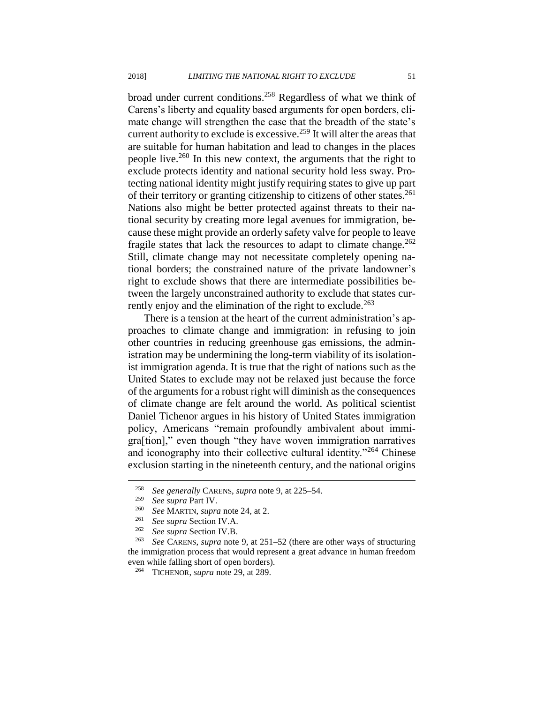broad under current conditions.<sup>258</sup> Regardless of what we think of Carens's liberty and equality based arguments for open borders, climate change will strengthen the case that the breadth of the state's current authority to exclude is excessive.<sup>259</sup> It will alter the areas that are suitable for human habitation and lead to changes in the places people live.<sup>260</sup> In this new context, the arguments that the right to exclude protects identity and national security hold less sway. Protecting national identity might justify requiring states to give up part of their territory or granting citizenship to citizens of other states.<sup>261</sup> Nations also might be better protected against threats to their national security by creating more legal avenues for immigration, because these might provide an orderly safety valve for people to leave fragile states that lack the resources to adapt to climate change. $262$ Still, climate change may not necessitate completely opening national borders; the constrained nature of the private landowner's right to exclude shows that there are intermediate possibilities between the largely unconstrained authority to exclude that states currently enjoy and the elimination of the right to exclude.<sup>263</sup>

There is a tension at the heart of the current administration's approaches to climate change and immigration: in refusing to join other countries in reducing greenhouse gas emissions, the administration may be undermining the long-term viability of its isolationist immigration agenda. It is true that the right of nations such as the United States to exclude may not be relaxed just because the force of the arguments for a robust right will diminish as the consequences of climate change are felt around the world. As political scientist Daniel Tichenor argues in his history of United States immigration policy, Americans "remain profoundly ambivalent about immigra[tion]," even though "they have woven immigration narratives and iconography into their collective cultural identity."<sup>264</sup> Chinese exclusion starting in the nineteenth century, and the national origins

<sup>258</sup> *See generally* CARENS, *supra* note 9, at 225–54.

<sup>259</sup> *See supra* Part IV.

<sup>260</sup> *See* MARTIN, *supra* note 24, at 2.

<sup>261</sup> *See supra* Section IV.A.

<sup>&</sup>lt;sup>262</sup> *See supra* Section IV.B.<br><sup>263</sup> *See CARENS* supra pote

See CARENS, *supra* note 9, at 251–52 (there are other ways of structuring the immigration process that would represent a great advance in human freedom even while falling short of open borders).

<sup>264</sup> TICHENOR, *supra* note 29, at 289.